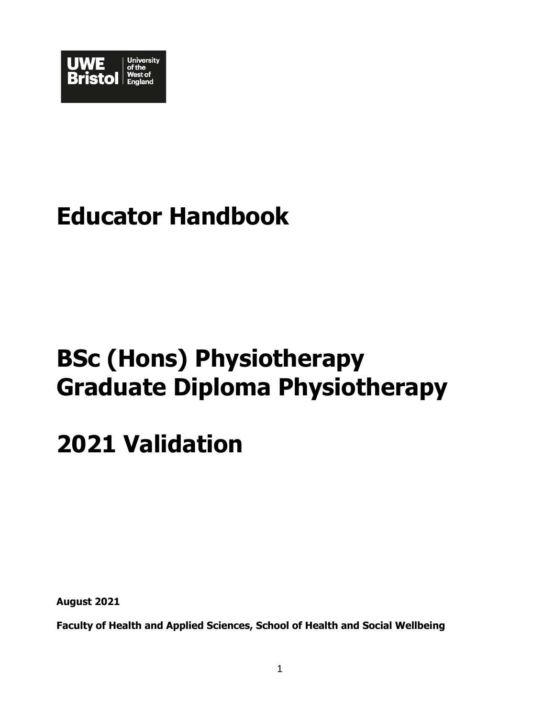

# **Educator Handbook**

# **BSc (Hons) Physiotherapy Graduate Diploma Physiotherapy**

# **2021 Validation**

**August 2021**

**Faculty of Health and Applied Sciences, School of Health and Social Wellbeing**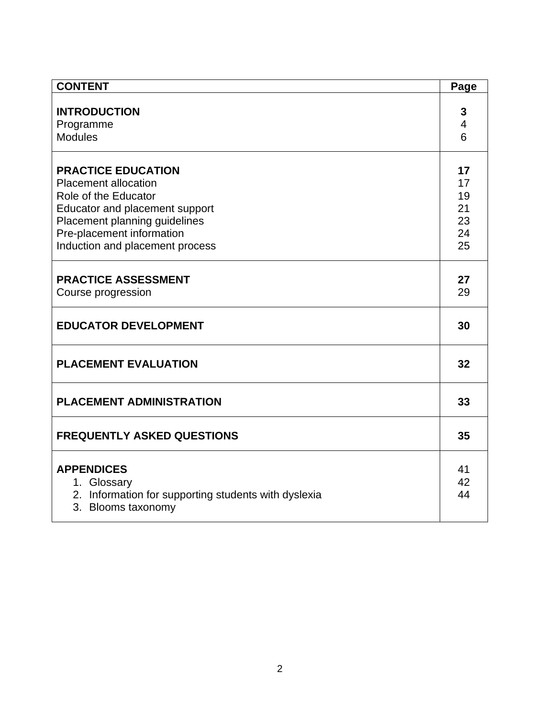| <b>CONTENT</b>                                                      | Page |
|---------------------------------------------------------------------|------|
|                                                                     |      |
| <b>INTRODUCTION</b>                                                 | 3    |
| Programme                                                           | 4    |
| <b>Modules</b>                                                      | 6    |
|                                                                     |      |
| <b>PRACTICE EDUCATION</b>                                           | 17   |
| <b>Placement allocation</b>                                         | 17   |
| Role of the Educator                                                | 19   |
| Educator and placement support                                      | 21   |
| Placement planning guidelines                                       | 23   |
| Pre-placement information                                           | 24   |
| Induction and placement process                                     | 25   |
|                                                                     |      |
| <b>PRACTICE ASSESSMENT</b>                                          | 27   |
| Course progression                                                  | 29   |
|                                                                     |      |
| <b>EDUCATOR DEVELOPMENT</b>                                         | 30   |
| <b>PLACEMENT EVALUATION</b>                                         |      |
|                                                                     |      |
| <b>PLACEMENT ADMINISTRATION</b>                                     |      |
|                                                                     |      |
| <b>FREQUENTLY ASKED QUESTIONS</b>                                   |      |
|                                                                     | 41   |
| <b>APPENDICES</b>                                                   | 42   |
| 1. Glossary<br>2. Information for supporting students with dyslexia | 44   |
| 3. Blooms taxonomy                                                  |      |
|                                                                     |      |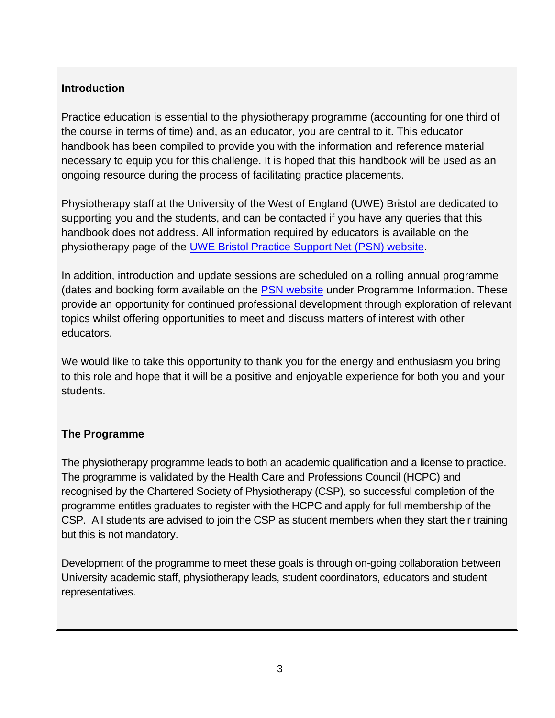# **Introduction**

Practice education is essential to the physiotherapy programme (accounting for one third of the course in terms of time) and, as an educator, you are central to it. This educator handbook has been compiled to provide you with the information and reference material necessary to equip you for this challenge. It is hoped that this handbook will be used as an ongoing resource during the process of facilitating practice placements.

Physiotherapy staff at the University of the West of England (UWE) Bristol are dedicated to supporting you and the students, and can be contacted if you have any queries that this handbook does not address. All information required by educators is available on the physiotherapy page of the [UWE Bristol Practice Support Net \(PSN\) website.](http://www1.uwe.ac.uk/students/practicesupportnet/guidancebyprogramme/physiotherapy.aspx)

In addition, introduction and update sessions are scheduled on a rolling annual programme (dates and booking form available on the [PSN website](http://www1.uwe.ac.uk/students/practicesupportnet/guidancebyprogramme/physiotherapy.aspx) under Programme Information. These provide an opportunity for continued professional development through exploration of relevant topics whilst offering opportunities to meet and discuss matters of interest with other educators.

We would like to take this opportunity to thank you for the energy and enthusiasm you bring to this role and hope that it will be a positive and enjoyable experience for both you and your students.

# **The Programme**

The physiotherapy programme leads to both an academic qualification and a license to practice. The programme is validated by the Health Care and Professions Council (HCPC) and recognised by the Chartered Society of Physiotherapy (CSP), so successful completion of the programme entitles graduates to register with the HCPC and apply for full membership of the CSP. All students are advised to join the CSP as student members when they start their training but this is not mandatory.

Development of the programme to meet these goals is through on-going collaboration between University academic staff, physiotherapy leads, student coordinators, educators and student representatives.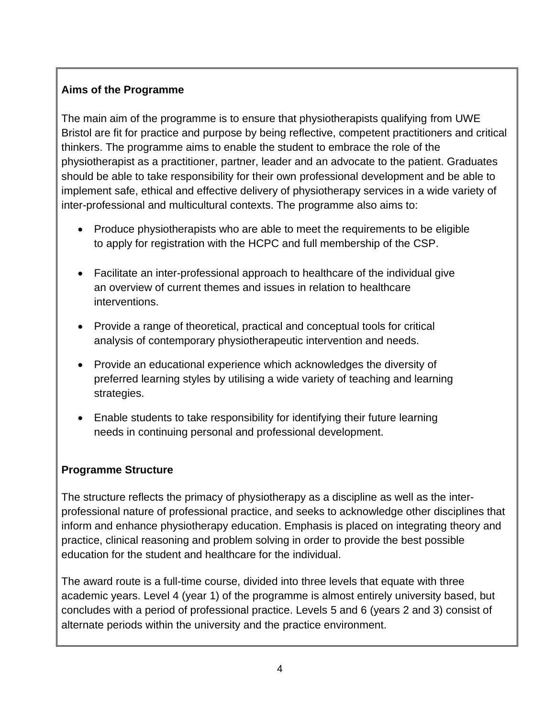# **Aims of the Programme**

The main aim of the programme is to ensure that physiotherapists qualifying from UWE Bristol are fit for practice and purpose by being reflective, competent practitioners and critical thinkers. The programme aims to enable the student to embrace the role of the physiotherapist as a practitioner, partner, leader and an advocate to the patient. Graduates should be able to take responsibility for their own professional development and be able to implement safe, ethical and effective delivery of physiotherapy services in a wide variety of inter-professional and multicultural contexts. The programme also aims to:

- Produce physiotherapists who are able to meet the requirements to be eligible to apply for registration with the HCPC and full membership of the CSP.
- Facilitate an inter-professional approach to healthcare of the individual give an overview of current themes and issues in relation to healthcare interventions.
- Provide a range of theoretical, practical and conceptual tools for critical analysis of contemporary physiotherapeutic intervention and needs.
- Provide an educational experience which acknowledges the diversity of preferred learning styles by utilising a wide variety of teaching and learning strategies.
- Enable students to take responsibility for identifying their future learning needs in continuing personal and professional development.

# **Programme Structure**

The structure reflects the primacy of physiotherapy as a discipline as well as the interprofessional nature of professional practice, and seeks to acknowledge other disciplines that inform and enhance physiotherapy education. Emphasis is placed on integrating theory and practice, clinical reasoning and problem solving in order to provide the best possible education for the student and healthcare for the individual.

The award route is a full-time course, divided into three levels that equate with three academic years. Level 4 (year 1) of the programme is almost entirely university based, but concludes with a period of professional practice. Levels 5 and 6 (years 2 and 3) consist of alternate periods within the university and the practice environment.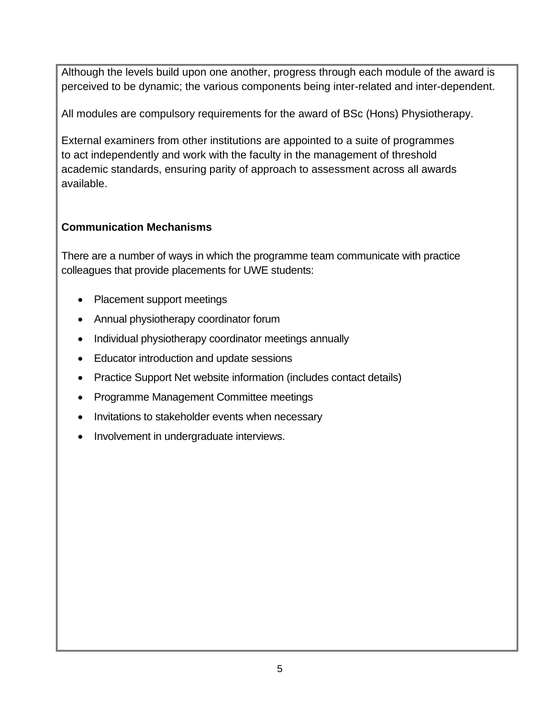Although the levels build upon one another, progress through each module of the award is perceived to be dynamic; the various components being inter-related and inter-dependent.

All modules are compulsory requirements for the award of BSc (Hons) Physiotherapy.

External examiners from other institutions are appointed to a suite of programmes to act independently and work with the faculty in the management of threshold academic standards, ensuring parity of approach to assessment across all awards available.

# **Communication Mechanisms**

There are a number of ways in which the programme team communicate with practice colleagues that provide placements for UWE students:

- Placement support meetings
- Annual physiotherapy coordinator forum
- Individual physiotherapy coordinator meetings annually
- Educator introduction and update sessions
- Practice Support Net website information (includes contact details)
- Programme Management Committee meetings
- Invitations to stakeholder events when necessary
- Involvement in undergraduate interviews.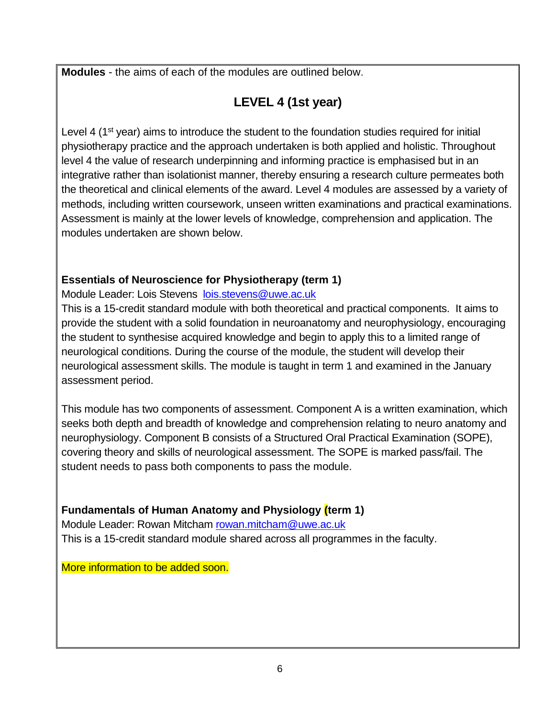**Modules** - the aims of each of the modules are outlined below.

# **LEVEL 4 (1st year)**

Level 4 (1<sup>st</sup> year) aims to introduce the student to the foundation studies required for initial physiotherapy practice and the approach undertaken is both applied and holistic. Throughout level 4 the value of research underpinning and informing practice is emphasised but in an integrative rather than isolationist manner, thereby ensuring a research culture permeates both the theoretical and clinical elements of the award. Level 4 modules are assessed by a variety of methods, including written coursework, unseen written examinations and practical examinations. Assessment is mainly at the lower levels of knowledge, comprehension and application. The modules undertaken are shown below.

# **Essentials of Neuroscience for Physiotherapy (term 1)**

Module Leader: Lois Stevens [lois.stevens@uwe.ac.uk](mailto:lois.stevens@uwe.ac.uk)

This is a 15-credit standard module with both theoretical and practical components. It aims to provide the student with a solid foundation in neuroanatomy and neurophysiology, encouraging the student to synthesise acquired knowledge and begin to apply this to a limited range of neurological conditions. During the course of the module, the student will develop their neurological assessment skills. The module is taught in term 1 and examined in the January assessment period.

This module has two components of assessment. Component A is a written examination, which seeks both depth and breadth of knowledge and comprehension relating to neuro anatomy and neurophysiology. Component B consists of a Structured Oral Practical Examination (SOPE), covering theory and skills of neurological assessment. The SOPE is marked pass/fail. The student needs to pass both components to pass the module.

# **Fundamentals of Human Anatomy and Physiology (term 1)**

Module Leader: Rowan Mitcham [rowan.mitcham@uwe.ac.uk](mailto:rowan.mitcham@uwe.ac.uk) This is a 15-credit standard module shared across all programmes in the faculty.

More information to be added soon.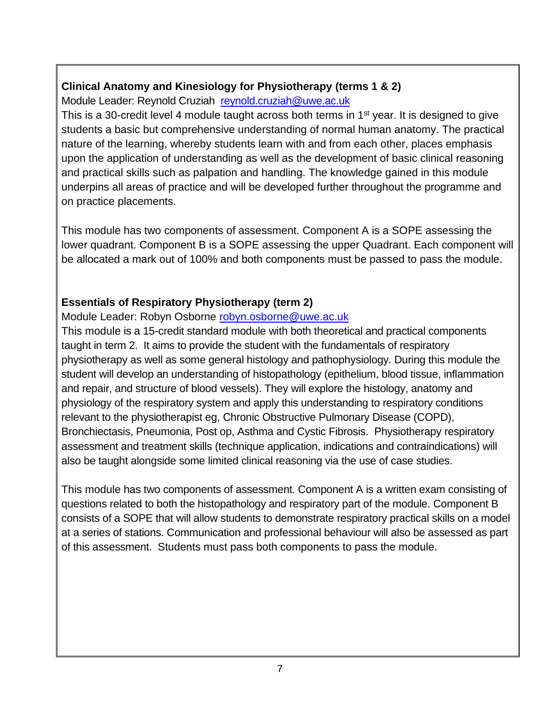# **Clinical Anatomy and Kinesiology for Physiotherapy (terms 1 & 2)**

Module Leader: Reynold Cruziah [reynold.cruziah@uwe.ac.uk](mailto:reynold.cruziah@uwe.ac.uk)

This is a 30-credit level 4 module taught across both terms in 1<sup>st</sup> year. It is designed to give students a basic but comprehensive understanding of normal human anatomy. The practical nature of the learning, whereby students learn with and from each other, places emphasis upon the application of understanding as well as the development of basic clinical reasoning and practical skills such as palpation and handling. The knowledge gained in this module underpins all areas of practice and will be developed further throughout the programme and on practice placements.

This module has two components of assessment. Component A is a SOPE assessing the lower quadrant. Component B is a SOPE assessing the upper Quadrant. Each component will be allocated a mark out of 100% and both components must be passed to pass the module.

# **Essentials of Respiratory Physiotherapy (term 2)**

Module Leader: Robyn Osborne [robyn.osborne@uwe.ac.uk](mailto:robyn.osborne@uwe.ac.uk)

This module is a 15-credit standard module with both theoretical and practical components taught in term 2. It aims to provide the student with the fundamentals of respiratory physiotherapy as well as some general histology and pathophysiology. During this module the student will develop an understanding of histopathology (epithelium, blood tissue, inflammation and repair, and structure of blood vessels). They will explore the histology, anatomy and physiology of the respiratory system and apply this understanding to respiratory conditions relevant to the physiotherapist eg, Chronic Obstructive Pulmonary Disease (COPD), Bronchiectasis, Pneumonia, Post op, Asthma and Cystic Fibrosis. Physiotherapy respiratory assessment and treatment skills (technique application, indications and contraindications) will also be taught alongside some limited clinical reasoning via the use of case studies.

This module has two components of assessment. Component A is a written exam consisting of questions related to both the histopathology and respiratory part of the module. Component B consists of a SOPE that will allow students to demonstrate respiratory practical skills on a model at a series of stations. Communication and professional behaviour will also be assessed as part of this assessment. Students must pass both components to pass the module.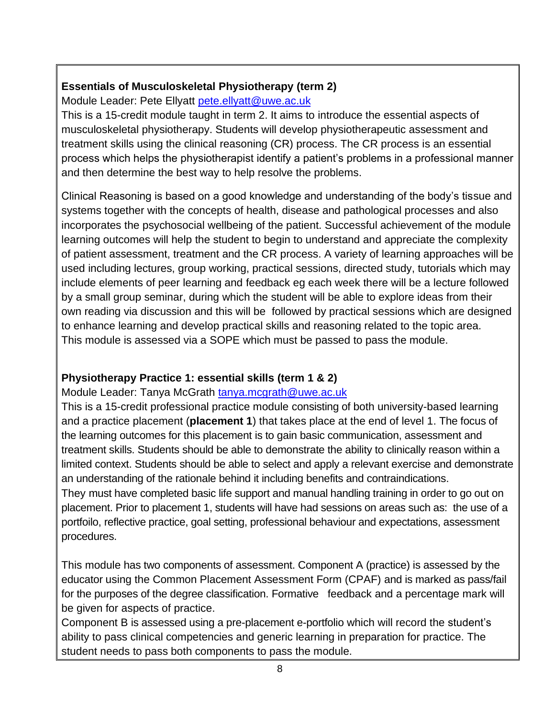# **Essentials of Musculoskeletal Physiotherapy (term 2)**

Module Leader: Pete Ellyatt [pete.ellyatt@uwe.ac.uk](mailto:pete.ellyatt@uwe.ac.uk)

This is a 15-credit module taught in term 2. It aims to introduce the essential aspects of musculoskeletal physiotherapy. Students will develop physiotherapeutic assessment and treatment skills using the clinical reasoning (CR) process. The CR process is an essential process which helps the physiotherapist identify a patient's problems in a professional manner and then determine the best way to help resolve the problems.

Clinical Reasoning is based on a good knowledge and understanding of the body's tissue and systems together with the concepts of health, disease and pathological processes and also incorporates the psychosocial wellbeing of the patient. Successful achievement of the module learning outcomes will help the student to begin to understand and appreciate the complexity of patient assessment, treatment and the CR process. A variety of learning approaches will be used including lectures, group working, practical sessions, directed study, tutorials which may include elements of peer learning and feedback eg each week there will be a lecture followed by a small group seminar, during which the student will be able to explore ideas from their own reading via discussion and this will be followed by practical sessions which are designed to enhance learning and develop practical skills and reasoning related to the topic area. This module is assessed via a SOPE which must be passed to pass the module.

# **Physiotherapy Practice 1: essential skills (term 1 & 2)**

Module Leader: Tanya McGrath [tanya.mcgrath@uwe.ac.uk](mailto:tanya.mcgrath@uwe.ac.uk)

This is a 15-credit professional practice module consisting of both university-based learning and a practice placement (**placement 1**) that takes place at the end of level 1. The focus of the learning outcomes for this placement is to gain basic communication, assessment and treatment skills. Students should be able to demonstrate the ability to clinically reason within a limited context. Students should be able to select and apply a relevant exercise and demonstrate an understanding of the rationale behind it including benefits and contraindications. They must have completed basic life support and manual handling training in order to go out on

placement. Prior to placement 1, students will have had sessions on areas such as: the use of a portfoilo, reflective practice, goal setting, professional behaviour and expectations, assessment procedures.

This module has two components of assessment. Component A (practice) is assessed by the educator using the Common Placement Assessment Form (CPAF) and is marked as pass/fail for the purposes of the degree classification. Formative feedback and a percentage mark will be given for aspects of practice.

Component B is assessed using a pre-placement e-portfolio which will record the student's ability to pass clinical competencies and generic learning in preparation for practice. The student needs to pass both components to pass the module.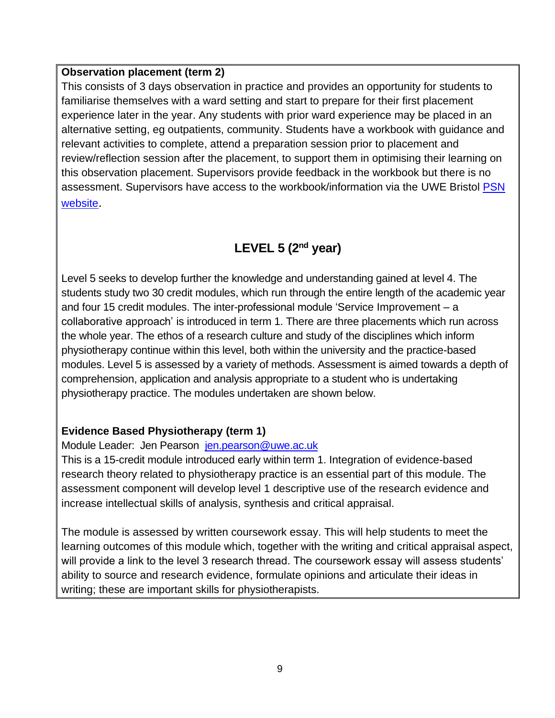#### **Observation placement (term 2)**

This consists of 3 days observation in practice and provides an opportunity for students to familiarise themselves with a ward setting and start to prepare for their first placement experience later in the year. Any students with prior ward experience may be placed in an alternative setting, eg outpatients, community. Students have a workbook with guidance and relevant activities to complete, attend a preparation session prior to placement and review/reflection session after the placement, to support them in optimising their learning on this observation placement. Supervisors provide feedback in the workbook but there is no assessment. Supervisors have access to the workbook/information via the UWE Bristol PSN [website](http://www1.uwe.ac.uk/students/practicesupportnet/guidancebyprogramme/physiotherapy.aspx).

# **LEVEL 5 (2nd year)**

Level 5 seeks to develop further the knowledge and understanding gained at level 4. The students study two 30 credit modules, which run through the entire length of the academic year and four 15 credit modules. The inter-professional module 'Service Improvement – a collaborative approach' is introduced in term 1. There are three placements which run across the whole year. The ethos of a research culture and study of the disciplines which inform physiotherapy continue within this level, both within the university and the practice-based modules. Level 5 is assessed by a variety of methods. Assessment is aimed towards a depth of comprehension, application and analysis appropriate to a student who is undertaking physiotherapy practice. The modules undertaken are shown below.

# **Evidence Based Physiotherapy (term 1)**

# Module Leader: Jen Pearson [jen.pearson@uwe.ac.uk](mailto:jen.pearson@uwe.ac.uk)

This is a 15-credit module introduced early within term 1. Integration of evidence-based research theory related to physiotherapy practice is an essential part of this module. The assessment component will develop level 1 descriptive use of the research evidence and increase intellectual skills of analysis, synthesis and critical appraisal.

The module is assessed by written coursework essay. This will help students to meet the learning outcomes of this module which, together with the writing and critical appraisal aspect, will provide a link to the level 3 research thread. The coursework essay will assess students' ability to source and research evidence, formulate opinions and articulate their ideas in writing; these are important skills for physiotherapists.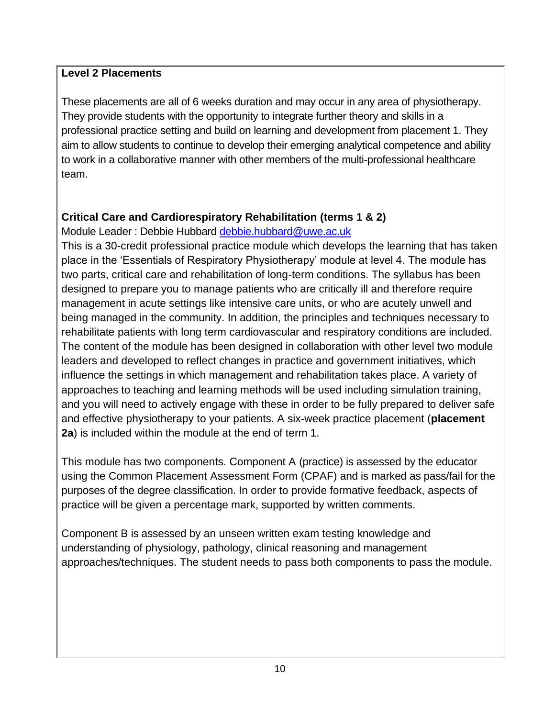#### **Level 2 Placements**

These placements are all of 6 weeks duration and may occur in any area of physiotherapy. They provide students with the opportunity to integrate further theory and skills in a professional practice setting and build on learning and development from placement 1. They aim to allow students to continue to develop their emerging analytical competence and ability to work in a collaborative manner with other members of the multi-professional healthcare team.

# **Critical Care and Cardiorespiratory Rehabilitation (terms 1 & 2)**

Module Leader : Debbie Hubbard [debbie.hubbard@uwe.ac.uk](mailto:debbie.hubbard@uwe.ac.uk)

This is a 30-credit professional practice module which develops the learning that has taken place in the 'Essentials of Respiratory Physiotherapy' module at level 4. The module has two parts, critical care and rehabilitation of long-term conditions. The syllabus has been designed to prepare you to manage patients who are critically ill and therefore require management in acute settings like intensive care units, or who are acutely unwell and being managed in the community. In addition, the principles and techniques necessary to rehabilitate patients with long term cardiovascular and respiratory conditions are included. The content of the module has been designed in collaboration with other level two module leaders and developed to reflect changes in practice and government initiatives, which influence the settings in which management and rehabilitation takes place. A variety of approaches to teaching and learning methods will be used including simulation training, and you will need to actively engage with these in order to be fully prepared to deliver safe and effective physiotherapy to your patients. A six-week practice placement (**placement 2a**) is included within the module at the end of term 1.

This module has two components. Component A (practice) is assessed by the educator using the Common Placement Assessment Form (CPAF) and is marked as pass/fail for the purposes of the degree classification. In order to provide formative feedback, aspects of practice will be given a percentage mark, supported by written comments.

Component B is assessed by an unseen written exam testing knowledge and understanding of physiology, pathology, clinical reasoning and management approaches/techniques. The student needs to pass both components to pass the module.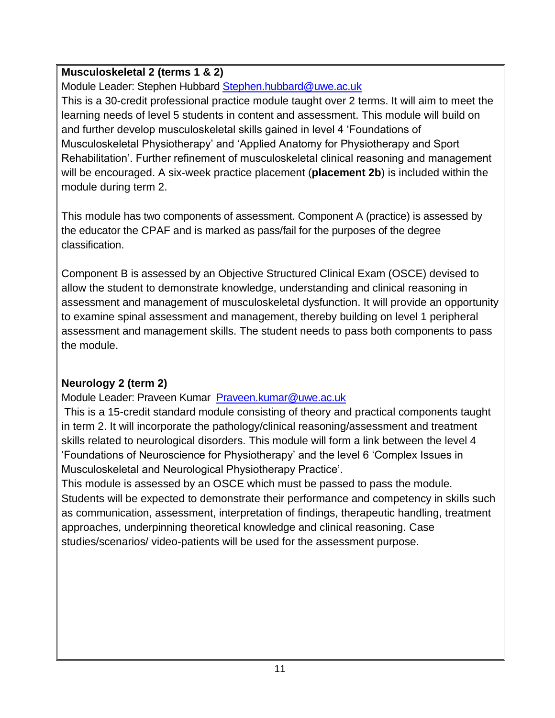# **Musculoskeletal 2 (terms 1 & 2)**

Module Leader: Stephen Hubbard [Stephen.hubbard@uwe.ac.uk](mailto:Stephen.hubbard@uwe.ac.uk)

This is a 30-credit professional practice module taught over 2 terms. It will aim to meet the learning needs of level 5 students in content and assessment. This module will build on and further develop musculoskeletal skills gained in level 4 'Foundations of Musculoskeletal Physiotherapy' and 'Applied Anatomy for Physiotherapy and Sport Rehabilitation'. Further refinement of musculoskeletal clinical reasoning and management will be encouraged. A six-week practice placement (**placement 2b**) is included within the module during term 2.

This module has two components of assessment. Component A (practice) is assessed by the educator the CPAF and is marked as pass/fail for the purposes of the degree classification.

Component B is assessed by an Objective Structured Clinical Exam (OSCE) devised to allow the student to demonstrate knowledge, understanding and clinical reasoning in assessment and management of musculoskeletal dysfunction. It will provide an opportunity to examine spinal assessment and management, thereby building on level 1 peripheral assessment and management skills. The student needs to pass both components to pass the module.

# **Neurology 2 (term 2)**

Module Leader: Praveen Kumar [Praveen.kumar@uwe.ac.uk](mailto:Praveen.kumar@uwe.ac.uk)

This is a 15-credit standard module consisting of theory and practical components taught in term 2. It will incorporate the pathology/clinical reasoning/assessment and treatment skills related to neurological disorders. This module will form a link between the level 4 'Foundations of Neuroscience for Physiotherapy' and the level 6 'Complex Issues in Musculoskeletal and Neurological Physiotherapy Practice'.

This module is assessed by an OSCE which must be passed to pass the module. Students will be expected to demonstrate their performance and competency in skills such as communication, assessment, interpretation of findings, therapeutic handling, treatment approaches, underpinning theoretical knowledge and clinical reasoning. Case studies/scenarios/ video-patients will be used for the assessment purpose.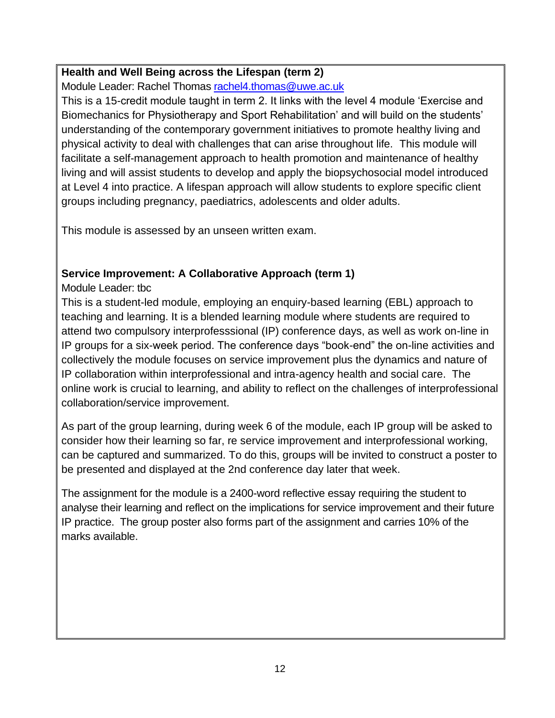# **Health and Well Being across the Lifespan (term 2)**

Module Leader: Rachel Thomas [rachel4.thomas@uwe.ac.uk](mailto:rachel4.thomas@uwe.ac.uk) 

This is a 15-credit module taught in term 2. It links with the level 4 module 'Exercise and Biomechanics for Physiotherapy and Sport Rehabilitation' and will build on the students' understanding of the contemporary government initiatives to promote healthy living and physical activity to deal with challenges that can arise throughout life. This module will facilitate a self-management approach to health promotion and maintenance of healthy living and will assist students to develop and apply the biopsychosocial model introduced at Level 4 into practice. A lifespan approach will allow students to explore specific client groups including pregnancy, paediatrics, adolescents and older adults.

This module is assessed by an unseen written exam.

# **Service Improvement: A Collaborative Approach (term 1)**

Module Leader: tbc

This is a student-led module, employing an enquiry-based learning (EBL) approach to teaching and learning. It is a blended learning module where students are required to attend two compulsory interprofesssional (IP) conference days, as well as work on-line in IP groups for a six-week period. The conference days "book-end" the on-line activities and collectively the module focuses on service improvement plus the dynamics and nature of IP collaboration within interprofessional and intra-agency health and social care. The online work is crucial to learning, and ability to reflect on the challenges of interprofessional collaboration/service improvement.

As part of the group learning, during week 6 of the module, each IP group will be asked to consider how their learning so far, re service improvement and interprofessional working, can be captured and summarized. To do this, groups will be invited to construct a poster to be presented and displayed at the 2nd conference day later that week.

The assignment for the module is a 2400-word reflective essay requiring the student to analyse their learning and reflect on the implications for service improvement and their future IP practice. The group poster also forms part of the assignment and carries 10% of the marks available.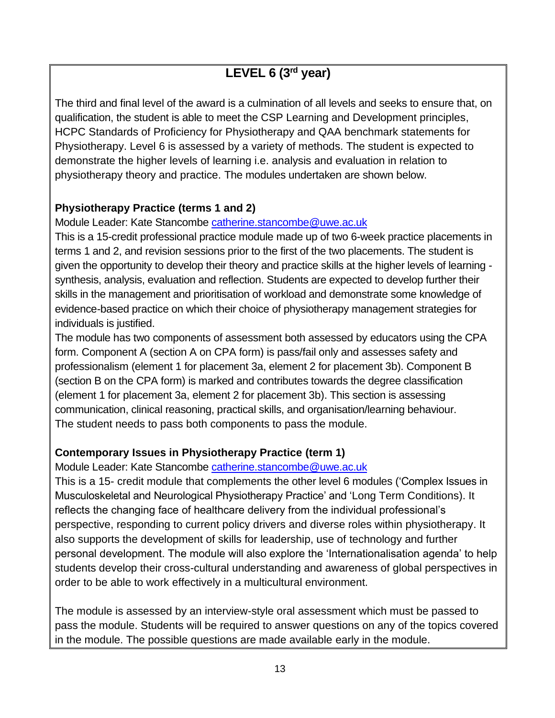# **LEVEL 6 (3rd year)**

The third and final level of the award is a culmination of all levels and seeks to ensure that, on qualification, the student is able to meet the CSP Learning and Development principles, HCPC Standards of Proficiency for Physiotherapy and QAA benchmark statements for Physiotherapy. Level 6 is assessed by a variety of methods. The student is expected to demonstrate the higher levels of learning i.e. analysis and evaluation in relation to physiotherapy theory and practice. The modules undertaken are shown below.

# **Physiotherapy Practice (terms 1 and 2)**

Module Leader: Kate Stancombe [catherine.stancombe@uwe.ac.uk](mailto:catherine.stancombe@uwe.ac.uk)

This is a 15-credit professional practice module made up of two 6-week practice placements in terms 1 and 2, and revision sessions prior to the first of the two placements. The student is given the opportunity to develop their theory and practice skills at the higher levels of learning synthesis, analysis, evaluation and reflection. Students are expected to develop further their skills in the management and prioritisation of workload and demonstrate some knowledge of evidence-based practice on which their choice of physiotherapy management strategies for individuals is justified.

The module has two components of assessment both assessed by educators using the CPA form. Component A (section A on CPA form) is pass/fail only and assesses safety and professionalism (element 1 for placement 3a, element 2 for placement 3b). Component B (section B on the CPA form) is marked and contributes towards the degree classification (element 1 for placement 3a, element 2 for placement 3b). This section is assessing communication, clinical reasoning, practical skills, and organisation/learning behaviour. The student needs to pass both components to pass the module.

# **Contemporary Issues in Physiotherapy Practice (term 1)**

Module Leader: Kate Stancombe [catherine.stancombe@uwe.ac.uk](mailto:catherine.stancombe@uwe.ac.uk)

This is a 15- credit module that complements the other level 6 modules ('Complex Issues in Musculoskeletal and Neurological Physiotherapy Practice' and 'Long Term Conditions). It reflects the changing face of healthcare delivery from the individual professional's perspective, responding to current policy drivers and diverse roles within physiotherapy. It also supports the development of skills for leadership, use of technology and further personal development. The module will also explore the 'Internationalisation agenda' to help students develop their cross-cultural understanding and awareness of global perspectives in order to be able to work effectively in a multicultural environment.

The module is assessed by an interview-style oral assessment which must be passed to pass the module. Students will be required to answer questions on any of the topics covered in the module. The possible questions are made available early in the module.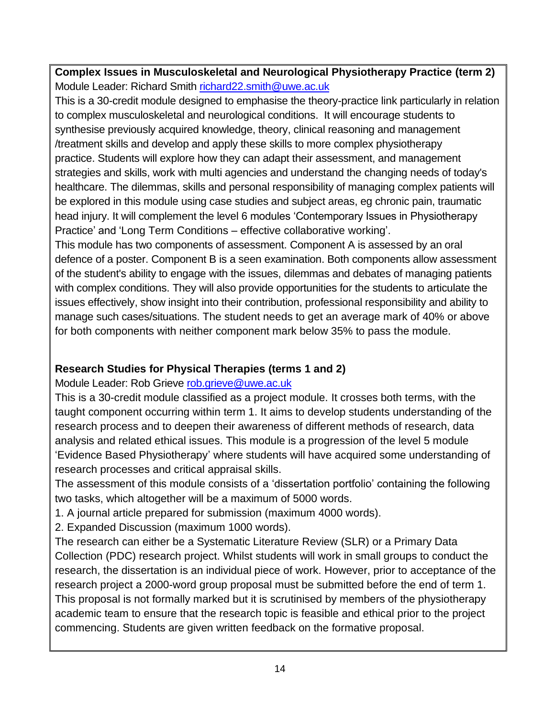**Complex Issues in Musculoskeletal and Neurological Physiotherapy Practice (term 2)** Module Leader: Richard Smith [richard22.smith@uwe.ac.uk](mailto:richard22.smith@uwe.ac.uk)

This is a 30-credit module designed to emphasise the theory-practice link particularly in relation to complex musculoskeletal and neurological conditions. It will encourage students to synthesise previously acquired knowledge, theory, clinical reasoning and management /treatment skills and develop and apply these skills to more complex physiotherapy practice. Students will explore how they can adapt their assessment, and management strategies and skills, work with multi agencies and understand the changing needs of today's healthcare. The dilemmas, skills and personal responsibility of managing complex patients will be explored in this module using case studies and subject areas, eg chronic pain, traumatic head injury. It will complement the level 6 modules 'Contemporary Issues in Physiotherapy Practice' and 'Long Term Conditions – effective collaborative working'.

This module has two components of assessment. Component A is assessed by an oral defence of a poster. Component B is a seen examination. Both components allow assessment of the student's ability to engage with the issues, dilemmas and debates of managing patients with complex conditions. They will also provide opportunities for the students to articulate the issues effectively, show insight into their contribution, professional responsibility and ability to manage such cases/situations. The student needs to get an average mark of 40% or above for both components with neither component mark below 35% to pass the module.

# **Research Studies for Physical Therapies (terms 1 and 2)**

Module Leader: Rob Grieve rob.grieve@uwe.ac.uk

This is a 30-credit module classified as a project module. It crosses both terms, with the taught component occurring within term 1. It aims to develop students understanding of the research process and to deepen their awareness of different methods of research, data analysis and related ethical issues. This module is a progression of the level 5 module 'Evidence Based Physiotherapy' where students will have acquired some understanding of research processes and critical appraisal skills.

The assessment of this module consists of a 'dissertation portfolio' containing the following two tasks, which altogether will be a maximum of 5000 words.

1. A journal article prepared for submission (maximum 4000 words).

2. Expanded Discussion (maximum 1000 words).

The research can either be a Systematic Literature Review (SLR) or a Primary Data Collection (PDC) research project. Whilst students will work in small groups to conduct the research, the dissertation is an individual piece of work. However, prior to acceptance of the research project a 2000-word group proposal must be submitted before the end of term 1. This proposal is not formally marked but it is scrutinised by members of the physiotherapy academic team to ensure that the research topic is feasible and ethical prior to the project commencing. Students are given written feedback on the formative proposal.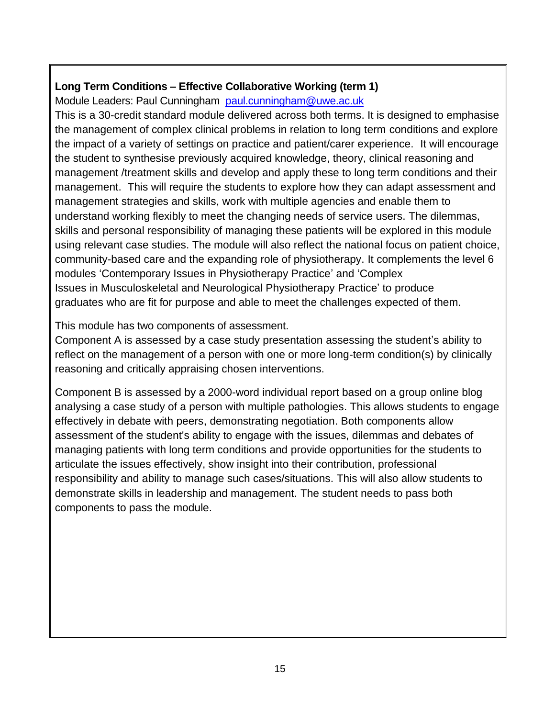# **Long Term Conditions – Effective Collaborative Working (term 1)**

Module Leaders: Paul Cunningham [paul.cunningham@uwe.ac.uk](mailto:paul.cunningham@uwe.ac.uk)

This is a 30-credit standard module delivered across both terms. It is designed to emphasise the management of complex clinical problems in relation to long term conditions and explore the impact of a variety of settings on practice and patient/carer experience. It will encourage the student to synthesise previously acquired knowledge, theory, clinical reasoning and management /treatment skills and develop and apply these to long term conditions and their management. This will require the students to explore how they can adapt assessment and management strategies and skills, work with multiple agencies and enable them to understand working flexibly to meet the changing needs of service users. The dilemmas, skills and personal responsibility of managing these patients will be explored in this module using relevant case studies. The module will also reflect the national focus on patient choice, community-based care and the expanding role of physiotherapy. It complements the level 6 modules 'Contemporary Issues in Physiotherapy Practice' and 'Complex Issues in Musculoskeletal and Neurological Physiotherapy Practice' to produce graduates who are fit for purpose and able to meet the challenges expected of them.

This module has two components of assessment.

Component A is assessed by a case study presentation assessing the student's ability to reflect on the management of a person with one or more long-term condition(s) by clinically reasoning and critically appraising chosen interventions.

Component B is assessed by a 2000-word individual report based on a group online blog analysing a case study of a person with multiple pathologies. This allows students to engage effectively in debate with peers, demonstrating negotiation. Both components allow assessment of the student's ability to engage with the issues, dilemmas and debates of managing patients with long term conditions and provide opportunities for the students to articulate the issues effectively, show insight into their contribution, professional responsibility and ability to manage such cases/situations. This will also allow students to demonstrate skills in leadership and management. The student needs to pass both components to pass the module.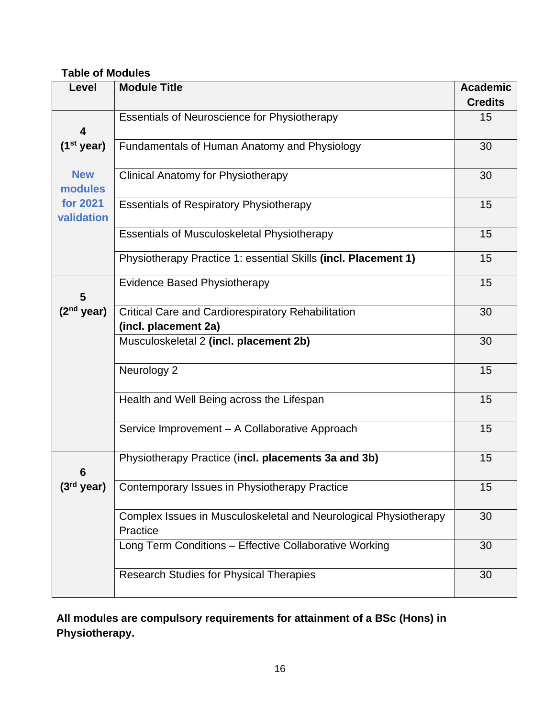# **Table of Modules**

| Level                  | <b>Module Title</b>                                                          | <b>Academic</b><br><b>Credits</b> |
|------------------------|------------------------------------------------------------------------------|-----------------------------------|
|                        |                                                                              | 15                                |
| 4                      | <b>Essentials of Neuroscience for Physiotherapy</b>                          |                                   |
| $(1st$ year)           | Fundamentals of Human Anatomy and Physiology                                 | 30                                |
| <b>New</b><br>modules  | <b>Clinical Anatomy for Physiotherapy</b>                                    | 30                                |
| for 2021<br>validation | <b>Essentials of Respiratory Physiotherapy</b>                               | 15                                |
|                        | <b>Essentials of Musculoskeletal Physiotherapy</b>                           | 15                                |
|                        | Physiotherapy Practice 1: essential Skills (incl. Placement 1)               | 15                                |
| 5                      | <b>Evidence Based Physiotherapy</b>                                          | 15                                |
| $(2nd$ year)           | <b>Critical Care and Cardiorespiratory Rehabilitation</b>                    | 30                                |
|                        | (incl. placement 2a)                                                         |                                   |
|                        | Musculoskeletal 2 (incl. placement 2b)                                       | 30                                |
|                        | Neurology 2                                                                  | 15                                |
|                        | Health and Well Being across the Lifespan                                    | 15                                |
|                        | Service Improvement - A Collaborative Approach                               | 15                                |
| 6                      | Physiotherapy Practice (incl. placements 3a and 3b)                          | 15                                |
| $(3rd$ year)           | Contemporary Issues in Physiotherapy Practice                                | 15                                |
|                        | Complex Issues in Musculoskeletal and Neurological Physiotherapy<br>Practice | 30                                |
|                        | Long Term Conditions - Effective Collaborative Working                       | 30                                |
|                        | <b>Research Studies for Physical Therapies</b>                               | 30                                |

# **All modules are compulsory requirements for attainment of a BSc (Hons) in Physiotherapy.**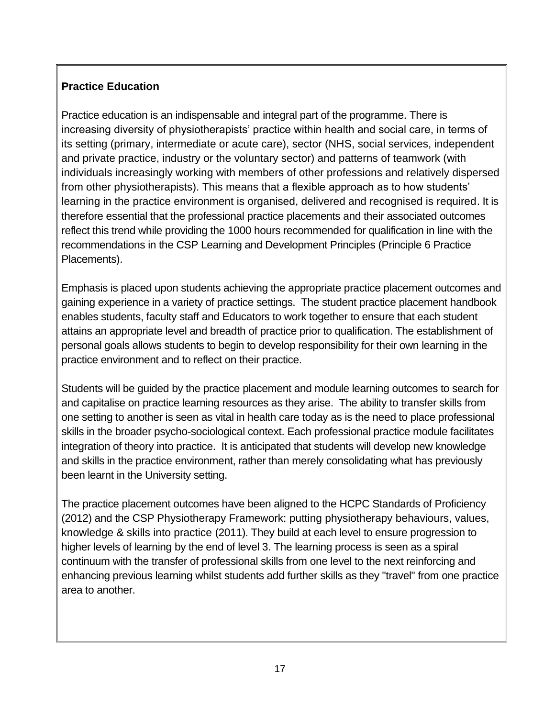# **Practice Education**

Practice education is an indispensable and integral part of the programme. There is increasing diversity of physiotherapists' practice within health and social care, in terms of its setting (primary, intermediate or acute care), sector (NHS, social services, independent and private practice, industry or the voluntary sector) and patterns of teamwork (with individuals increasingly working with members of other professions and relatively dispersed from other physiotherapists). This means that a flexible approach as to how students' learning in the practice environment is organised, delivered and recognised is required. It is therefore essential that the professional practice placements and their associated outcomes reflect this trend while providing the 1000 hours recommended for qualification in line with the recommendations in the CSP Learning and Development Principles (Principle 6 Practice Placements).

Emphasis is placed upon students achieving the appropriate practice placement outcomes and gaining experience in a variety of practice settings. The student practice placement handbook enables students, faculty staff and Educators to work together to ensure that each student attains an appropriate level and breadth of practice prior to qualification. The establishment of personal goals allows students to begin to develop responsibility for their own learning in the practice environment and to reflect on their practice.

Students will be guided by the practice placement and module learning outcomes to search for and capitalise on practice learning resources as they arise. The ability to transfer skills from one setting to another is seen as vital in health care today as is the need to place professional skills in the broader psycho-sociological context. Each professional practice module facilitates integration of theory into practice. It is anticipated that students will develop new knowledge and skills in the practice environment, rather than merely consolidating what has previously been learnt in the University setting.

The practice placement outcomes have been aligned to the HCPC Standards of Proficiency (2012) and the CSP Physiotherapy Framework: putting physiotherapy behaviours, values, knowledge & skills into practice (2011). They build at each level to ensure progression to higher levels of learning by the end of level 3. The learning process is seen as a spiral continuum with the transfer of professional skills from one level to the next reinforcing and enhancing previous learning whilst students add further skills as they "travel" from one practice area to another.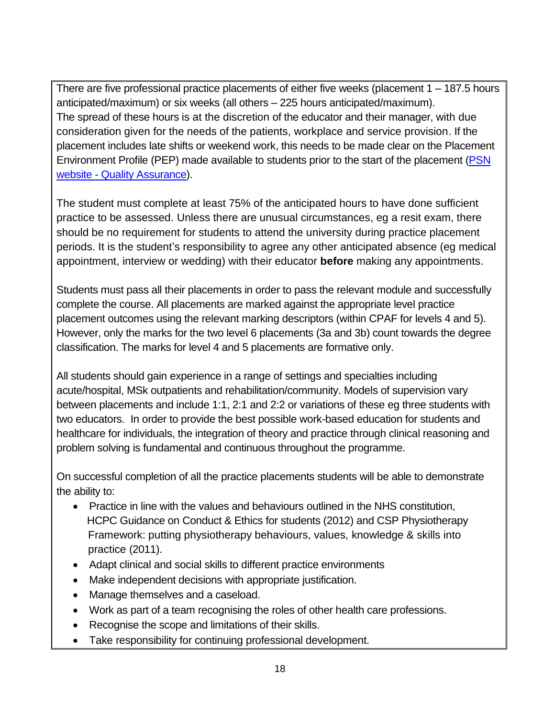There are five professional practice placements of either five weeks (placement 1 – 187.5 hours anticipated/maximum) or six weeks (all others – 225 hours anticipated/maximum). The spread of these hours is at the discretion of the educator and their manager, with due consideration given for the needs of the patients, workplace and service provision. If the placement includes late shifts or weekend work, this needs to be made clear on the Placement Environment Profile (PEP) made available to students prior to the start of the placement [\(PSN](http://www1.uwe.ac.uk/students/practicesupportnet/qualityassurance.aspx)  website - [Quality Assurance\)](http://www1.uwe.ac.uk/students/practicesupportnet/qualityassurance.aspx).

The student must complete at least 75% of the anticipated hours to have done sufficient practice to be assessed. Unless there are unusual circumstances, eg a resit exam, there should be no requirement for students to attend the university during practice placement periods. It is the student's responsibility to agree any other anticipated absence (eg medical appointment, interview or wedding) with their educator **before** making any appointments.

Students must pass all their placements in order to pass the relevant module and successfully complete the course. All placements are marked against the appropriate level practice placement outcomes using the relevant marking descriptors (within CPAF for levels 4 and 5). However, only the marks for the two level 6 placements (3a and 3b) count towards the degree classification. The marks for level 4 and 5 placements are formative only.

All students should gain experience in a range of settings and specialties including acute/hospital, MSk outpatients and rehabilitation/community. Models of supervision vary between placements and include 1:1, 2:1 and 2:2 or variations of these eg three students with two educators. In order to provide the best possible work-based education for students and healthcare for individuals, the integration of theory and practice through clinical reasoning and problem solving is fundamental and continuous throughout the programme.

On successful completion of all the practice placements students will be able to demonstrate the ability to:

- Practice in line with the values and behaviours outlined in the NHS constitution, HCPC Guidance on Conduct & Ethics for students (2012) and CSP Physiotherapy Framework: putting physiotherapy behaviours, values, knowledge & skills into practice (2011).
- Adapt clinical and social skills to different practice environments
- Make independent decisions with appropriate justification.
- Manage themselves and a caseload.
- Work as part of a team recognising the roles of other health care professions.
- Recognise the scope and limitations of their skills.
- Take responsibility for continuing professional development.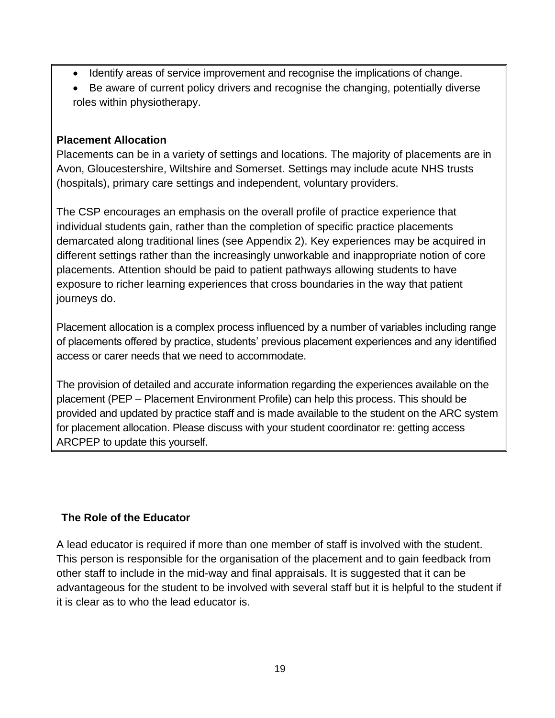- Identify areas of service improvement and recognise the implications of change.
- Be aware of current policy drivers and recognise the changing, potentially diverse roles within physiotherapy.

#### **Placement Allocation**

Placements can be in a variety of settings and locations. The majority of placements are in Avon, Gloucestershire, Wiltshire and Somerset. Settings may include acute NHS trusts (hospitals), primary care settings and independent, voluntary providers.

The CSP encourages an emphasis on the overall profile of practice experience that individual students gain, rather than the completion of specific practice placements demarcated along traditional lines (see Appendix 2). Key experiences may be acquired in different settings rather than the increasingly unworkable and inappropriate notion of core placements. Attention should be paid to patient pathways allowing students to have exposure to richer learning experiences that cross boundaries in the way that patient journeys do.

Placement allocation is a complex process influenced by a number of variables including range of placements offered by practice, students' previous placement experiences and any identified access or carer needs that we need to accommodate.

The provision of detailed and accurate information regarding the experiences available on the placement (PEP – Placement Environment Profile) can help this process. This should be provided and updated by practice staff and is made available to the student on the ARC system for placement allocation. Please discuss with your student coordinator re: getting access ARCPEP to update this yourself.

# **The Role of the Educator**

A lead educator is required if more than one member of staff is involved with the student. This person is responsible for the organisation of the placement and to gain feedback from other staff to include in the mid-way and final appraisals. It is suggested that it can be advantageous for the student to be involved with several staff but it is helpful to the student if it is clear as to who the lead educator is.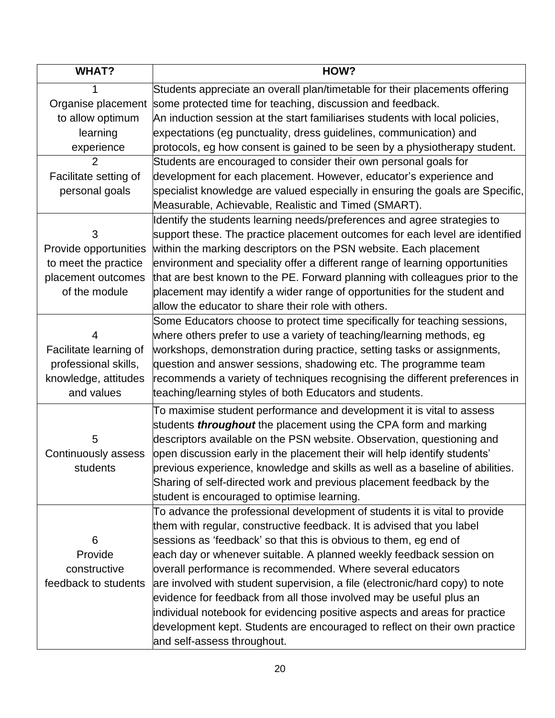| <b>WHAT?</b>           | HOW?                                                                           |
|------------------------|--------------------------------------------------------------------------------|
|                        | Students appreciate an overall plan/timetable for their placements offering    |
| Organise placement     | some protected time for teaching, discussion and feedback.                     |
| to allow optimum       | An induction session at the start familiarises students with local policies,   |
| learning               | expectations (eg punctuality, dress guidelines, communication) and             |
| experience             | protocols, eg how consent is gained to be seen by a physiotherapy student.     |
| $\overline{2}$         | Students are encouraged to consider their own personal goals for               |
| Facilitate setting of  | development for each placement. However, educator's experience and             |
| personal goals         | specialist knowledge are valued especially in ensuring the goals are Specific, |
|                        | Measurable, Achievable, Realistic and Timed (SMART).                           |
|                        | Identify the students learning needs/preferences and agree strategies to       |
| 3                      | support these. The practice placement outcomes for each level are identified   |
| Provide opportunities  | within the marking descriptors on the PSN website. Each placement              |
| to meet the practice   | environment and speciality offer a different range of learning opportunities   |
| placement outcomes     | that are best known to the PE. Forward planning with colleagues prior to the   |
| of the module          | placement may identify a wider range of opportunities for the student and      |
|                        | allow the educator to share their role with others.                            |
|                        | Some Educators choose to protect time specifically for teaching sessions,      |
| 4                      | where others prefer to use a variety of teaching/learning methods, eg          |
| Facilitate learning of | workshops, demonstration during practice, setting tasks or assignments,        |
| professional skills,   | question and answer sessions, shadowing etc. The programme team                |
| knowledge, attitudes   | recommends a variety of techniques recognising the different preferences in    |
| and values             | teaching/learning styles of both Educators and students.                       |
|                        | To maximise student performance and development it is vital to assess          |
|                        | students <i>throughout</i> the placement using the CPA form and marking        |
| 5                      | descriptors available on the PSN website. Observation, questioning and         |
| Continuously assess    | open discussion early in the placement their will help identify students'      |
| students               | previous experience, knowledge and skills as well as a baseline of abilities.  |
|                        | Sharing of self-directed work and previous placement feedback by the           |
|                        | student is encouraged to optimise learning.                                    |
|                        | To advance the professional development of students it is vital to provide     |
|                        | them with regular, constructive feedback. It is advised that you label         |
| 6                      | sessions as 'feedback' so that this is obvious to them, eg end of              |
| Provide                | each day or whenever suitable. A planned weekly feedback session on            |
| constructive           | overall performance is recommended. Where several educators                    |
| feedback to students   | are involved with student supervision, a file (electronic/hard copy) to note   |
|                        | evidence for feedback from all those involved may be useful plus an            |
|                        | individual notebook for evidencing positive aspects and areas for practice     |
|                        | development kept. Students are encouraged to reflect on their own practice     |
|                        | and self-assess throughout.                                                    |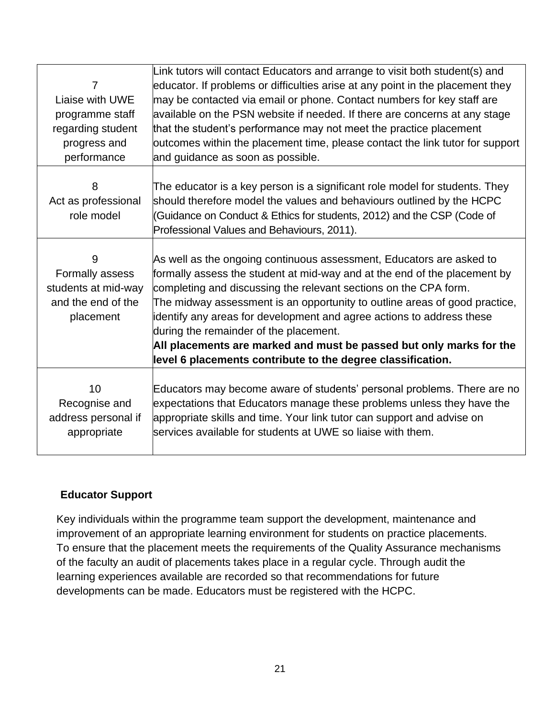| $\overline{7}$<br>Liaise with UWE<br>programme staff<br>regarding student<br>progress and<br>performance | Link tutors will contact Educators and arrange to visit both student(s) and<br>educator. If problems or difficulties arise at any point in the placement they<br>may be contacted via email or phone. Contact numbers for key staff are<br>available on the PSN website if needed. If there are concerns at any stage<br>that the student's performance may not meet the practice placement<br>outcomes within the placement time, please contact the link tutor for support<br>and guidance as soon as possible.                                            |
|----------------------------------------------------------------------------------------------------------|--------------------------------------------------------------------------------------------------------------------------------------------------------------------------------------------------------------------------------------------------------------------------------------------------------------------------------------------------------------------------------------------------------------------------------------------------------------------------------------------------------------------------------------------------------------|
| 8<br>Act as professional<br>role model                                                                   | The educator is a key person is a significant role model for students. They<br>should therefore model the values and behaviours outlined by the HCPC<br>(Guidance on Conduct & Ethics for students, 2012) and the CSP (Code of<br>Professional Values and Behaviours, 2011).                                                                                                                                                                                                                                                                                 |
| 9<br>Formally assess<br>students at mid-way<br>and the end of the<br>placement                           | As well as the ongoing continuous assessment, Educators are asked to<br>formally assess the student at mid-way and at the end of the placement by<br>completing and discussing the relevant sections on the CPA form.<br>The midway assessment is an opportunity to outline areas of good practice,<br>identify any areas for development and agree actions to address these<br>during the remainder of the placement.<br>All placements are marked and must be passed but only marks for the<br>level 6 placements contribute to the degree classification. |
| 10<br>Recognise and<br>address personal if<br>appropriate                                                | Educators may become aware of students' personal problems. There are no<br>expectations that Educators manage these problems unless they have the<br>appropriate skills and time. Your link tutor can support and advise on<br>services available for students at UWE so liaise with them.                                                                                                                                                                                                                                                                   |

#### **Educator Support**

Key individuals within the programme team support the development, maintenance and improvement of an appropriate learning environment for students on practice placements. To ensure that the placement meets the requirements of the Quality Assurance mechanisms of the faculty an audit of placements takes place in a regular cycle. Through audit the learning experiences available are recorded so that recommendations for future developments can be made. Educators must be registered with the HCPC.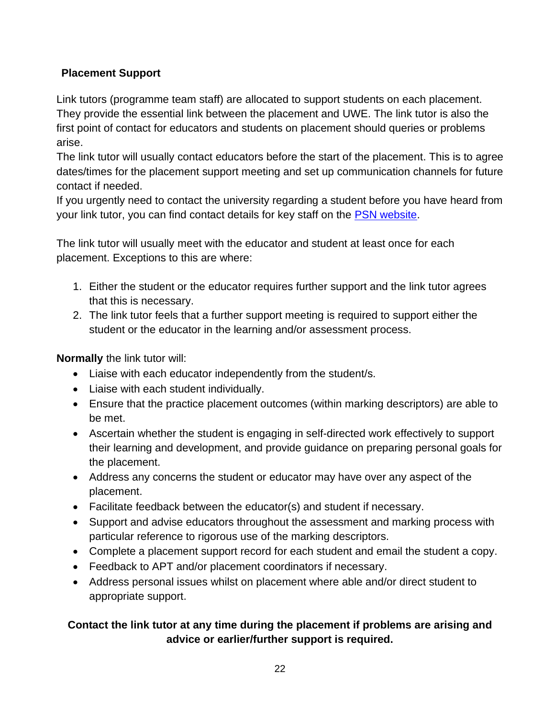# **Placement Support**

Link tutors (programme team staff) are allocated to support students on each placement. They provide the essential link between the placement and UWE. The link tutor is also the first point of contact for educators and students on placement should queries or problems arise.

The link tutor will usually contact educators before the start of the placement. This is to agree dates/times for the placement support meeting and set up communication channels for future contact if needed.

If you urgently need to contact the university regarding a student before you have heard from your link tutor, you can find contact details for key staff on the [PSN website.](http://www1.uwe.ac.uk/students/practicesupportnet/guidancebyprogramme/physiotherapy.aspx)

The link tutor will usually meet with the educator and student at least once for each placement. Exceptions to this are where:

- 1. Either the student or the educator requires further support and the link tutor agrees that this is necessary.
- 2. The link tutor feels that a further support meeting is required to support either the student or the educator in the learning and/or assessment process.

**Normally** the link tutor will:

- Liaise with each educator independently from the student/s.
- Liaise with each student individually.
- Ensure that the practice placement outcomes (within marking descriptors) are able to be met.
- Ascertain whether the student is engaging in self-directed work effectively to support their learning and development, and provide guidance on preparing personal goals for the placement.
- Address any concerns the student or educator may have over any aspect of the placement.
- Facilitate feedback between the educator(s) and student if necessary.
- Support and advise educators throughout the assessment and marking process with particular reference to rigorous use of the marking descriptors.
- Complete a placement support record for each student and email the student a copy.
- Feedback to APT and/or placement coordinators if necessary.
- Address personal issues whilst on placement where able and/or direct student to appropriate support.

# **Contact the link tutor at any time during the placement if problems are arising and advice or earlier/further support is required.**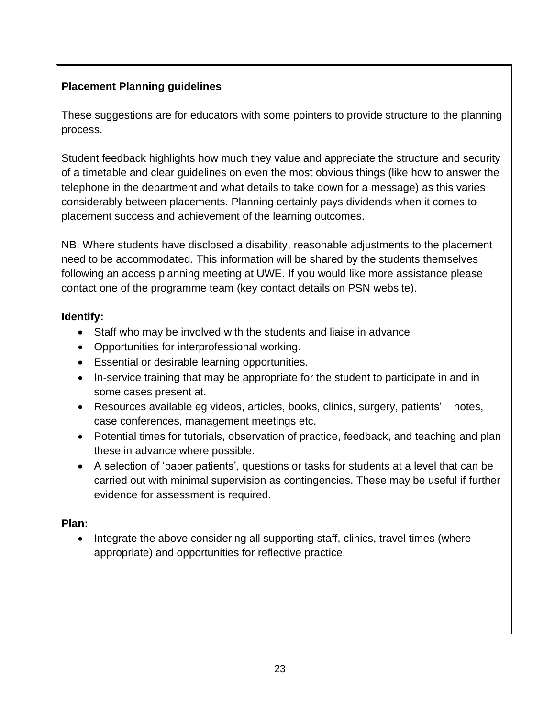# **Placement Planning guidelines**

These suggestions are for educators with some pointers to provide structure to the planning process.

Student feedback highlights how much they value and appreciate the structure and security of a timetable and clear guidelines on even the most obvious things (like how to answer the telephone in the department and what details to take down for a message) as this varies considerably between placements. Planning certainly pays dividends when it comes to placement success and achievement of the learning outcomes.

NB. Where students have disclosed a disability, reasonable adjustments to the placement need to be accommodated. This information will be shared by the students themselves following an access planning meeting at UWE. If you would like more assistance please contact one of the programme team (key contact details on PSN website).

# **Identify:**

- Staff who may be involved with the students and liaise in advance
- Opportunities for interprofessional working.
- Essential or desirable learning opportunities.
- In-service training that may be appropriate for the student to participate in and in some cases present at.
- Resources available eg videos, articles, books, clinics, surgery, patients' notes, case conferences, management meetings etc.
- Potential times for tutorials, observation of practice, feedback, and teaching and plan these in advance where possible.
- A selection of 'paper patients', questions or tasks for students at a level that can be carried out with minimal supervision as contingencies. These may be useful if further evidence for assessment is required.

# **Plan:**

Integrate the above considering all supporting staff, clinics, travel times (where appropriate) and opportunities for reflective practice.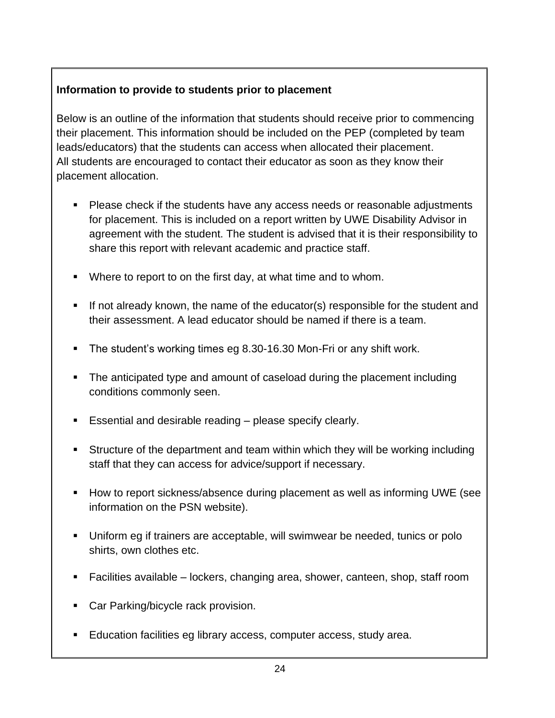# **Information to provide to students prior to placement**

Below is an outline of the information that students should receive prior to commencing their placement. This information should be included on the PEP (completed by team leads/educators) that the students can access when allocated their placement. All students are encouraged to contact their educator as soon as they know their placement allocation.

- Please check if the students have any access needs or reasonable adjustments for placement. This is included on a report written by UWE Disability Advisor in agreement with the student. The student is advised that it is their responsibility to share this report with relevant academic and practice staff.
- Where to report to on the first day, at what time and to whom.
- If not already known, the name of the educator(s) responsible for the student and their assessment. A lead educator should be named if there is a team.
- The student's working times eg 8.30-16.30 Mon-Fri or any shift work.
- The anticipated type and amount of caseload during the placement including conditions commonly seen.
- Essential and desirable reading please specify clearly.
- Structure of the department and team within which they will be working including staff that they can access for advice/support if necessary.
- How to report sickness/absence during placement as well as informing UWE (see information on the PSN website).
- Uniform eg if trainers are acceptable, will swimwear be needed, tunics or polo shirts, own clothes etc.
- Facilities available lockers, changing area, shower, canteen, shop, staff room
- Car Parking/bicycle rack provision.
- **Education facilities eg library access, computer access, study area.**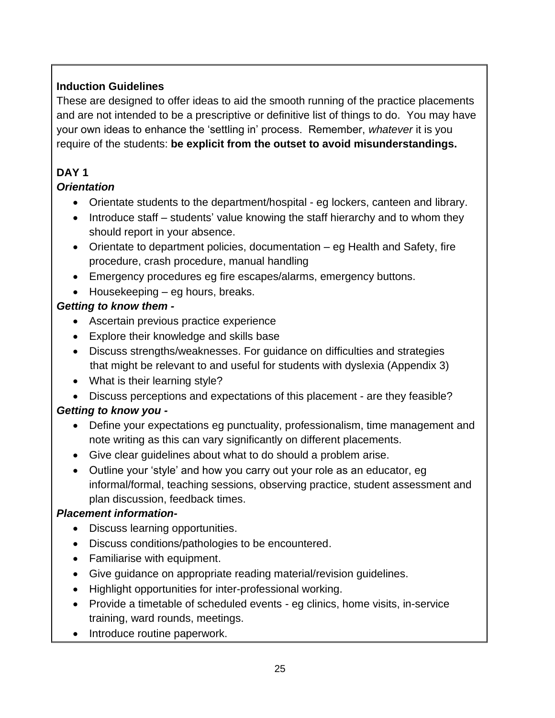# **Induction Guidelines**

These are designed to offer ideas to aid the smooth running of the practice placements and are not intended to be a prescriptive or definitive list of things to do. You may have your own ideas to enhance the 'settling in' process. Remember, *whatever* it is you require of the students: **be explicit from the outset to avoid misunderstandings.**

# **DAY 1**

# *Orientation*

- Orientate students to the department/hospital eg lockers, canteen and library.
- Introduce staff students' value knowing the staff hierarchy and to whom they should report in your absence.
- Orientate to department policies, documentation eg Health and Safety, fire procedure, crash procedure, manual handling
- Emergency procedures eg fire escapes/alarms, emergency buttons.
- Housekeeping eg hours, breaks.

# *Getting to know them -*

- Ascertain previous practice experience
- Explore their knowledge and skills base
- Discuss strengths/weaknesses. For guidance on difficulties and strategies that might be relevant to and useful for students with dyslexia (Appendix 3)
- What is their learning style?
- Discuss perceptions and expectations of this placement are they feasible?

# *Getting to know you -*

- Define your expectations eg punctuality, professionalism, time management and note writing as this can vary significantly on different placements.
- Give clear guidelines about what to do should a problem arise.
- Outline your 'style' and how you carry out your role as an educator, eg informal/formal, teaching sessions, observing practice, student assessment and plan discussion, feedback times.

# *Placement information-*

- Discuss learning opportunities.
- Discuss conditions/pathologies to be encountered.
- Familiarise with equipment.
- Give guidance on appropriate reading material/revision guidelines.
- Highlight opportunities for inter-professional working.
- Provide a timetable of scheduled events eg clinics, home visits, in-service training, ward rounds, meetings.
- Introduce routine paperwork.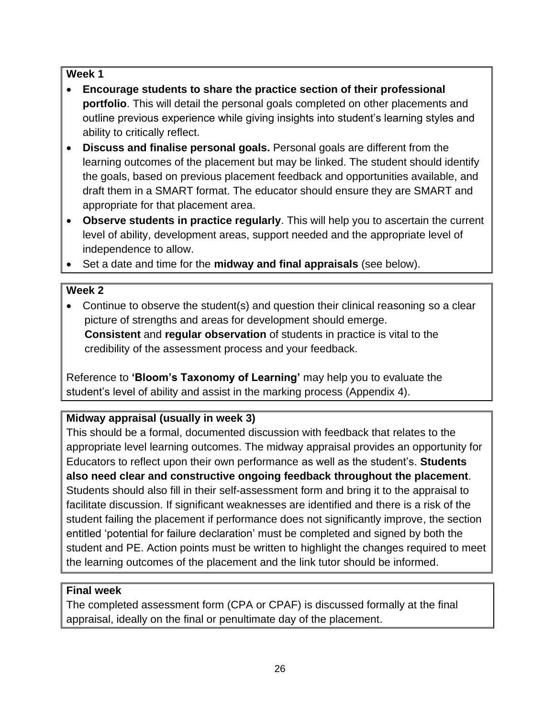#### **Week 1**

- **Encourage students to share the practice section of their professional portfolio**. This will detail the personal goals completed on other placements and outline previous experience while giving insights into student's learning styles and ability to critically reflect.
- **Discuss and finalise personal goals.** Personal goals are different from the learning outcomes of the placement but may be linked. The student should identify the goals, based on previous placement feedback and opportunities available, and draft them in a SMART format. The educator should ensure they are SMART and appropriate for that placement area.
- **Observe students in practice regularly**. This will help you to ascertain the current level of ability, development areas, support needed and the appropriate level of independence to allow.
- Set a date and time for the **midway and final appraisals** (see below).

# **Week 2**

• Continue to observe the student(s) and question their clinical reasoning so a clear picture of strengths and areas for development should emerge. **Consistent** and **regular observation** of students in practice is vital to the credibility of the assessment process and your feedback.

Reference to **'Bloom's Taxonomy of Learning'** may help you to evaluate the student's level of ability and assist in the marking process (Appendix 4).

# **Midway appraisal (usually in week 3)**

This should be a formal, documented discussion with feedback that relates to the appropriate level learning outcomes. The midway appraisal provides an opportunity for Educators to reflect upon their own performance as well as the student's. **Students also need clear and constructive ongoing feedback throughout the placement**. Students should also fill in their self-assessment form and bring it to the appraisal to facilitate discussion. If significant weaknesses are identified and there is a risk of the student failing the placement if performance does not significantly improve, the section entitled 'potential for failure declaration' must be completed and signed by both the student and PE. Action points must be written to highlight the changes required to meet the learning outcomes of the placement and the link tutor should be informed.

# **Final week**

The completed assessment form (CPA or CPAF) is discussed formally at the final appraisal, ideally on the final or penultimate day of the placement.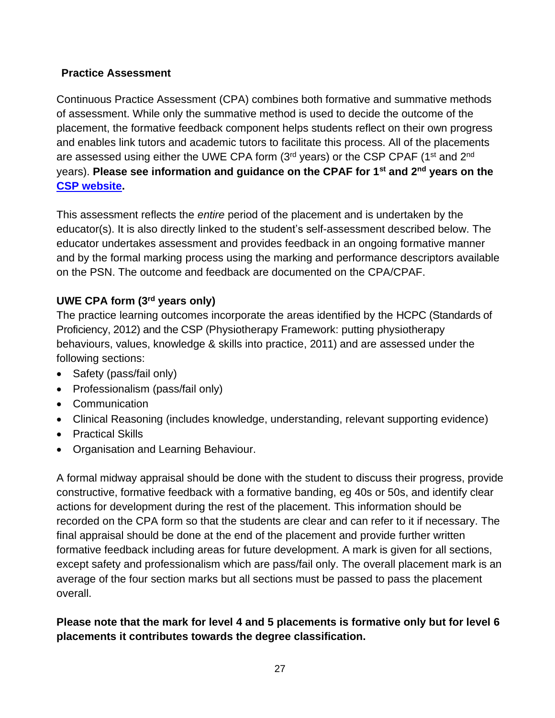#### **Practice Assessment**

Continuous Practice Assessment (CPA) combines both formative and summative methods of assessment. While only the summative method is used to decide the outcome of the placement, the formative feedback component helps students reflect on their own progress and enables link tutors and academic tutors to facilitate this process. All of the placements are assessed using either the UWE CPA form (3<sup>rd</sup> years) or the CSP CPAF (1<sup>st</sup> and 2<sup>nd</sup> years). **Please see information and guidance on the CPAF for 1st and 2nd years on the [CSP website.](https://www.csp.org.uk/professional-clinical/practice-based-learning/common-placement-assessment-form)** 

This assessment reflects the *entire* period of the placement and is undertaken by the educator(s). It is also directly linked to the student's self-assessment described below. The educator undertakes assessment and provides feedback in an ongoing formative manner and by the formal marking process using the marking and performance descriptors available on the PSN. The outcome and feedback are documented on the CPA/CPAF.

# **UWE CPA form (3rd years only)**

The practice learning outcomes incorporate the areas identified by the HCPC (Standards of Proficiency, 2012) and the CSP (Physiotherapy Framework: putting physiotherapy behaviours, values, knowledge & skills into practice, 2011) and are assessed under the following sections:

- Safety (pass/fail only)
- Professionalism (pass/fail only)
- Communication
- Clinical Reasoning (includes knowledge, understanding, relevant supporting evidence)
- Practical Skills
- Organisation and Learning Behaviour.

A formal midway appraisal should be done with the student to discuss their progress, provide constructive, formative feedback with a formative banding, eg 40s or 50s, and identify clear actions for development during the rest of the placement. This information should be recorded on the CPA form so that the students are clear and can refer to it if necessary. The final appraisal should be done at the end of the placement and provide further written formative feedback including areas for future development. A mark is given for all sections, except safety and professionalism which are pass/fail only. The overall placement mark is an average of the four section marks but all sections must be passed to pass the placement overall.

#### **Please note that the mark for level 4 and 5 placements is formative only but for level 6 placements it contributes towards the degree classification.**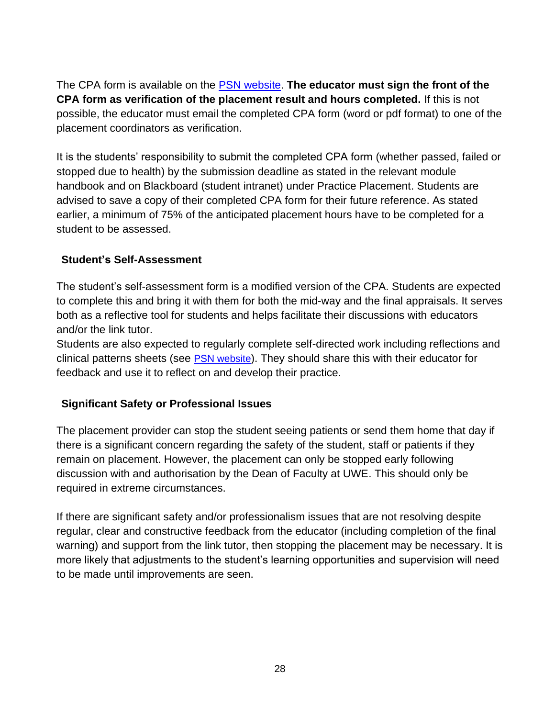The CPA form is available on the [PSN website.](http://www1.uwe.ac.uk/students/practicesupportnet/guidancebyprogramme/physiotherapy.aspx) **The educator must sign the front of the CPA form as verification of the placement result and hours completed.** If this is not possible, the educator must email the completed CPA form (word or pdf format) to one of the placement coordinators as verification.

It is the students' responsibility to submit the completed CPA form (whether passed, failed or stopped due to health) by the submission deadline as stated in the relevant module handbook and on Blackboard (student intranet) under Practice Placement. Students are advised to save a copy of their completed CPA form for their future reference. As stated earlier, a minimum of 75% of the anticipated placement hours have to be completed for a student to be assessed.

#### **Student's Self-Assessment**

The student's self-assessment form is a modified version of the CPA. Students are expected to complete this and bring it with them for both the mid-way and the final appraisals. It serves both as a reflective tool for students and helps facilitate their discussions with educators and/or the link tutor.

Students are also expected to regularly complete self-directed work including reflections and clinical patterns sheets (see **PSN** website). They should share this with their educator for feedback and use it to reflect on and develop their practice.

# **Significant Safety or Professional Issues**

The placement provider can stop the student seeing patients or send them home that day if there is a significant concern regarding the safety of the student, staff or patients if they remain on placement. However, the placement can only be stopped early following discussion with and authorisation by the Dean of Faculty at UWE. This should only be required in extreme circumstances.

If there are significant safety and/or professionalism issues that are not resolving despite regular, clear and constructive feedback from the educator (including completion of the final warning) and support from the link tutor, then stopping the placement may be necessary. It is more likely that adjustments to the student's learning opportunities and supervision will need to be made until improvements are seen.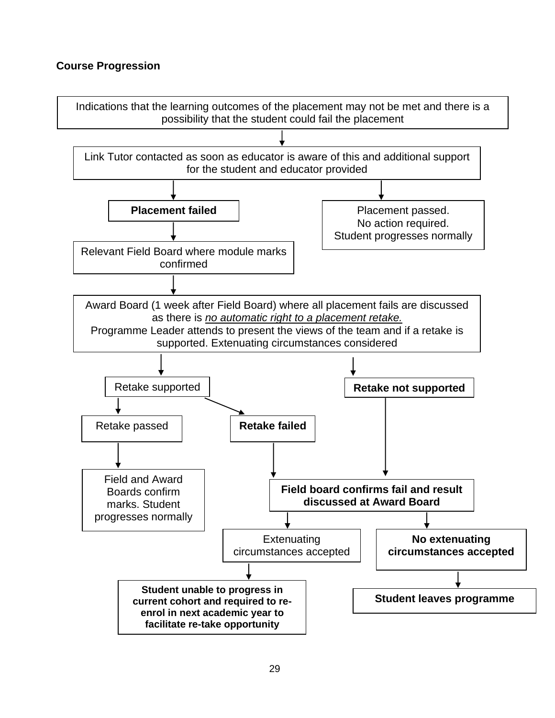#### **Course Progression**

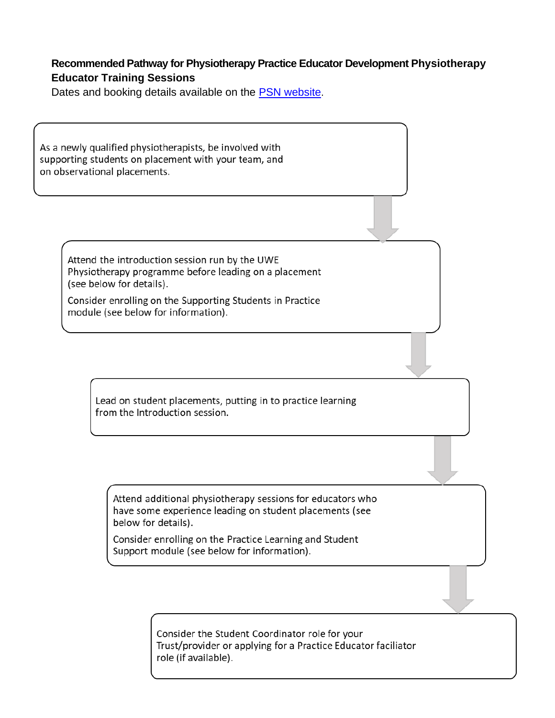#### **Recommended Pathway for Physiotherapy Practice Educator Development Physiotherapy Educator Training Sessions**

Dates and booking details available on the [PSN website](http://www1.uwe.ac.uk/students/practicesupportnet/guidancebyprogramme/physiotherapy.aspx).

As a newly qualified physiotherapists, be involved with supporting students on placement with your team, and on observational placements.

> Attend the introduction session run by the UWE Physiotherapy programme before leading on a placement (see below for details).

> Consider enrolling on the Supporting Students in Practice module (see below for information).

> > Lead on student placements, putting in to practice learning from the Introduction session.

Attend additional physiotherapy sessions for educators who have some experience leading on student placements (see below for details).

Consider enrolling on the Practice Learning and Student Support module (see below for information).

> Consider the Student Coordinator role for your Trust/provider or applying for a Practice Educator faciliator role (if available).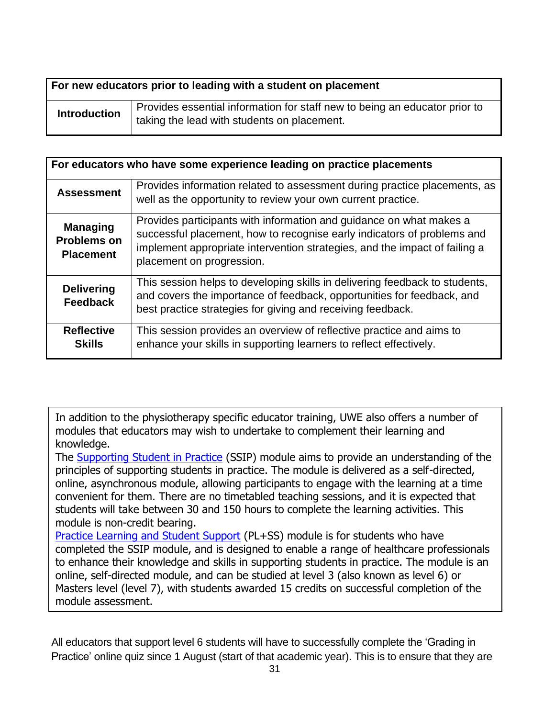| For new educators prior to leading with a student on placement |                                                                                                                           |
|----------------------------------------------------------------|---------------------------------------------------------------------------------------------------------------------------|
| <b>Introduction</b>                                            | Provides essential information for staff new to being an educator prior to<br>taking the lead with students on placement. |

| For educators who have some experience leading on practice placements |                                                                                                                                                                                                                                                           |
|-----------------------------------------------------------------------|-----------------------------------------------------------------------------------------------------------------------------------------------------------------------------------------------------------------------------------------------------------|
| <b>Assessment</b>                                                     | Provides information related to assessment during practice placements, as<br>well as the opportunity to review your own current practice.                                                                                                                 |
| <b>Managing</b><br><b>Problems on</b><br><b>Placement</b>             | Provides participants with information and guidance on what makes a<br>successful placement, how to recognise early indicators of problems and<br>implement appropriate intervention strategies, and the impact of failing a<br>placement on progression. |
| <b>Delivering</b><br><b>Feedback</b>                                  | This session helps to developing skills in delivering feedback to students,<br>and covers the importance of feedback, opportunities for feedback, and<br>best practice strategies for giving and receiving feedback.                                      |
| <b>Reflective</b><br><b>Skills</b>                                    | This session provides an overview of reflective practice and aims to<br>enhance your skills in supporting learners to reflect effectively.                                                                                                                |

In addition to the physiotherapy specific educator training, UWE also offers a number of modules that educators may wish to undertake to complement their learning and knowledge.

The [Supporting Student in Practice](https://courses.uwe.ac.uk/Z51000122/supporting-students-in-practice) (SSIP) module aims to provide an understanding of the principles of supporting students in practice. The module is delivered as a self-directed, online, asynchronous module, allowing participants to engage with the learning at a time convenient for them. There are no timetabled teaching sessions, and it is expected that students will take between 30 and 150 hours to complete the learning activities. This module is non-credit bearing.

[Practice Learning and Student Support](https://courses.uwe.ac.uk/UZYY38153/practice-learning-and-student-support) (PL+SS) module is for students who have completed the SSIP module, and is designed to enable a range of healthcare professionals to enhance their knowledge and skills in supporting students in practice. The module is an online, self-directed module, and can be studied at level 3 (also known as level 6) or Masters level (level 7), with students awarded 15 credits on successful completion of the module assessment.

All educators that support level 6 students will have to successfully complete the 'Grading in Practice' online quiz since 1 August (start of that academic year). This is to ensure that they are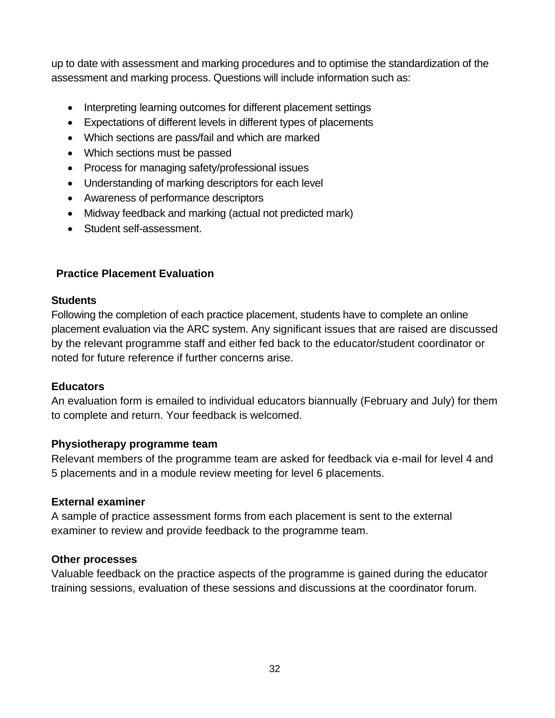up to date with assessment and marking procedures and to optimise the standardization of the assessment and marking process. Questions will include information such as:

- Interpreting learning outcomes for different placement settings
- Expectations of different levels in different types of placements
- Which sections are pass/fail and which are marked
- Which sections must be passed
- Process for managing safety/professional issues
- Understanding of marking descriptors for each level
- Awareness of performance descriptors
- Midway feedback and marking (actual not predicted mark)
- Student self-assessment.

#### **Practice Placement Evaluation**

#### **Students**

Following the completion of each practice placement, students have to complete an online placement evaluation via the ARC system. Any significant issues that are raised are discussed by the relevant programme staff and either fed back to the educator/student coordinator or noted for future reference if further concerns arise.

#### **Educators**

An evaluation form is emailed to individual educators biannually (February and July) for them to complete and return. Your feedback is welcomed.

#### **Physiotherapy programme team**

Relevant members of the programme team are asked for feedback via e-mail for level 4 and 5 placements and in a module review meeting for level 6 placements.

#### **External examiner**

A sample of practice assessment forms from each placement is sent to the external examiner to review and provide feedback to the programme team.

#### **Other processes**

Valuable feedback on the practice aspects of the programme is gained during the educator training sessions, evaluation of these sessions and discussions at the coordinator forum.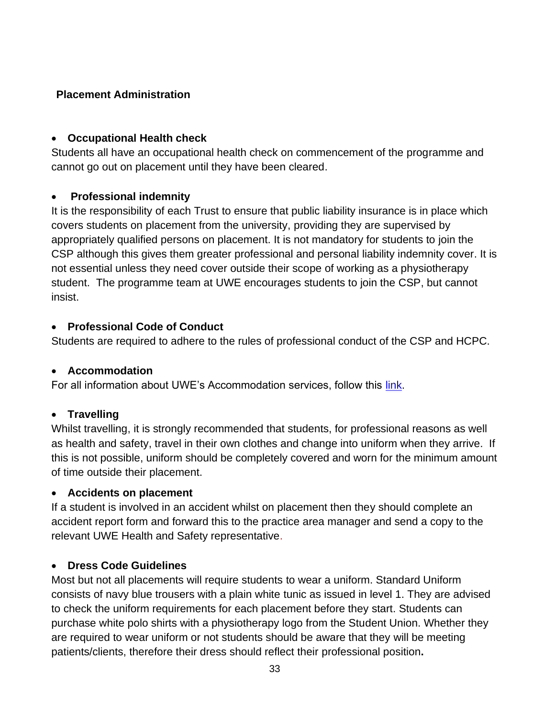#### **Placement Administration**

#### • **Occupational Health check**

Students all have an occupational health check on commencement of the programme and cannot go out on placement until they have been cleared.

#### • **Professional indemnity**

It is the responsibility of each Trust to ensure that public liability insurance is in place which covers students on placement from the university, providing they are supervised by appropriately qualified persons on placement. It is not mandatory for students to join the CSP although this gives them greater professional and personal liability indemnity cover. It is not essential unless they need cover outside their scope of working as a physiotherapy student. The programme team at UWE encourages students to join the CSP, but cannot insist.

#### • **Professional Code of Conduct**

Students are required to adhere to the rules of professional conduct of the CSP and HCPC.

# • **Accommodation**

For all information about UWE's Accommodation services, follow this [link.](http://www1.uwe.ac.uk/students/accommodation/uweaccommodationoptions/ahpplacementaccommodation.aspx)

# • **Travelling**

Whilst travelling, it is strongly recommended that students, for professional reasons as well as health and safety, travel in their own clothes and change into uniform when they arrive. If this is not possible, uniform should be completely covered and worn for the minimum amount of time outside their placement.

# • **Accidents on placement**

If a student is involved in an accident whilst on placement then they should complete an accident report form and forward this to the practice area manager and send a copy to the relevant UWE Health and Safety representative.

# • **Dress Code Guidelines**

Most but not all placements will require students to wear a uniform. Standard Uniform consists of navy blue trousers with a plain white tunic as issued in level 1. They are advised to check the uniform requirements for each placement before they start. Students can purchase white polo shirts with a physiotherapy logo from the Student Union. Whether they are required to wear uniform or not students should be aware that they will be meeting patients/clients, therefore their dress should reflect their professional position**.**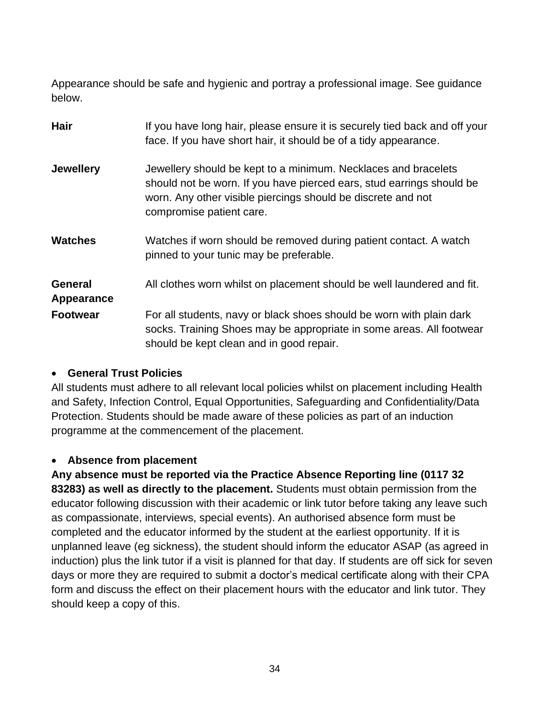Appearance should be safe and hygienic and portray a professional image. See guidance below.

| <b>Hair</b>                  | If you have long hair, please ensure it is securely tied back and off your<br>face. If you have short hair, it should be of a tidy appearance.                                                                                      |
|------------------------------|-------------------------------------------------------------------------------------------------------------------------------------------------------------------------------------------------------------------------------------|
| <b>Jewellery</b>             | Jewellery should be kept to a minimum. Necklaces and bracelets<br>should not be worn. If you have pierced ears, stud earrings should be<br>worn. Any other visible piercings should be discrete and not<br>compromise patient care. |
| <b>Watches</b>               | Watches if worn should be removed during patient contact. A watch<br>pinned to your tunic may be preferable.                                                                                                                        |
| <b>General</b><br>Appearance | All clothes worn whilst on placement should be well laundered and fit.                                                                                                                                                              |
| <b>Footwear</b>              | For all students, navy or black shoes should be worn with plain dark<br>socks. Training Shoes may be appropriate in some areas. All footwear<br>should be kept clean and in good repair.                                            |

#### • **General Trust Policies**

All students must adhere to all relevant local policies whilst on placement including Health and Safety, Infection Control, Equal Opportunities, Safeguarding and Confidentiality/Data Protection. Students should be made aware of these policies as part of an induction programme at the commencement of the placement.

#### • **Absence from placement**

**Any absence must be reported via the Practice Absence Reporting line (0117 32 83283) as well as directly to the placement.** Students must obtain permission from the educator following discussion with their academic or link tutor before taking any leave such as compassionate, interviews, special events). An authorised absence form must be completed and the educator informed by the student at the earliest opportunity. If it is unplanned leave (eg sickness), the student should inform the educator ASAP (as agreed in induction) plus the link tutor if a visit is planned for that day. If students are off sick for seven days or more they are required to submit a doctor's medical certificate along with their CPA form and discuss the effect on their placement hours with the educator and link tutor. They should keep a copy of this.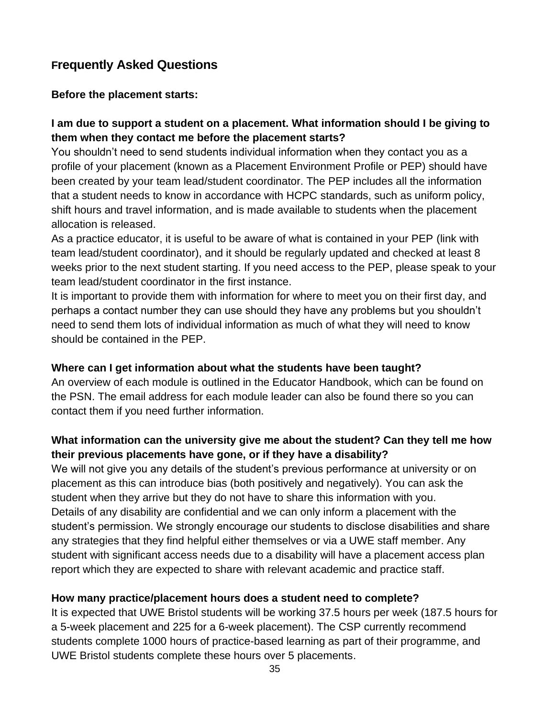# **Frequently Asked Questions**

#### **Before the placement starts:**

#### **I am due to support a student on a placement. What information should I be giving to them when they contact me before the placement starts?**

You shouldn't need to send students individual information when they contact you as a profile of your placement (known as a Placement Environment Profile or PEP) should have been created by your team lead/student coordinator. The PEP includes all the information that a student needs to know in accordance with HCPC standards, such as uniform policy, shift hours and travel information, and is made available to students when the placement allocation is released.

As a practice educator, it is useful to be aware of what is contained in your PEP (link with team lead/student coordinator), and it should be regularly updated and checked at least 8 weeks prior to the next student starting. If you need access to the PEP, please speak to your team lead/student coordinator in the first instance.

It is important to provide them with information for where to meet you on their first day, and perhaps a contact number they can use should they have any problems but you shouldn't need to send them lots of individual information as much of what they will need to know should be contained in the PEP.

#### **Where can I get information about what the students have been taught?**

An overview of each module is outlined in the Educator Handbook, which can be found on the PSN. The email address for each module leader can also be found there so you can contact them if you need further information.

# **What information can the university give me about the student? Can they tell me how their previous placements have gone, or if they have a disability?**

We will not give you any details of the student's previous performance at university or on placement as this can introduce bias (both positively and negatively). You can ask the student when they arrive but they do not have to share this information with you. Details of any disability are confidential and we can only inform a placement with the student's permission. We strongly encourage our students to disclose disabilities and share any strategies that they find helpful either themselves or via a UWE staff member. Any student with significant access needs due to a disability will have a placement access plan report which they are expected to share with relevant academic and practice staff.

#### **How many practice/placement hours does a student need to complete?**

It is expected that UWE Bristol students will be working 37.5 hours per week (187.5 hours for a 5-week placement and 225 for a 6-week placement). The CSP currently recommend students complete 1000 hours of practice-based learning as part of their programme, and UWE Bristol students complete these hours over 5 placements.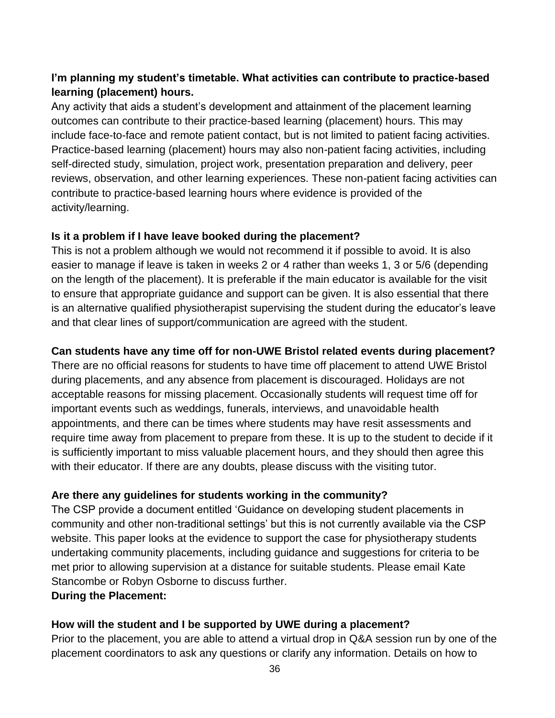# **I'm planning my student's timetable. What activities can contribute to practice-based learning (placement) hours.**

Any activity that aids a student's development and attainment of the placement learning outcomes can contribute to their practice-based learning (placement) hours. This may include face-to-face and remote patient contact, but is not limited to patient facing activities. Practice-based learning (placement) hours may also non-patient facing activities, including self-directed study, simulation, project work, presentation preparation and delivery, peer reviews, observation, and other learning experiences. These non-patient facing activities can contribute to practice-based learning hours where evidence is provided of the activity/learning.

#### **Is it a problem if I have leave booked during the placement?**

This is not a problem although we would not recommend it if possible to avoid. It is also easier to manage if leave is taken in weeks 2 or 4 rather than weeks 1, 3 or 5/6 (depending on the length of the placement). It is preferable if the main educator is available for the visit to ensure that appropriate guidance and support can be given. It is also essential that there is an alternative qualified physiotherapist supervising the student during the educator's leave and that clear lines of support/communication are agreed with the student.

#### **Can students have any time off for non-UWE Bristol related events during placement?**

There are no official reasons for students to have time off placement to attend UWE Bristol during placements, and any absence from placement is discouraged. Holidays are not acceptable reasons for missing placement. Occasionally students will request time off for important events such as weddings, funerals, interviews, and unavoidable health appointments, and there can be times where students may have resit assessments and require time away from placement to prepare from these. It is up to the student to decide if it is sufficiently important to miss valuable placement hours, and they should then agree this with their educator. If there are any doubts, please discuss with the visiting tutor.

# **Are there any guidelines for students working in the community?**

The CSP provide a document entitled 'Guidance on developing student placements in community and other non-traditional settings' but this is not currently available via the CSP website. This paper looks at the evidence to support the case for physiotherapy students undertaking community placements, including guidance and suggestions for criteria to be met prior to allowing supervision at a distance for suitable students. Please email Kate Stancombe or Robyn Osborne to discuss further.

#### **During the Placement:**

# **How will the student and I be supported by UWE during a placement?**

Prior to the placement, you are able to attend a virtual drop in Q&A session run by one of the placement coordinators to ask any questions or clarify any information. Details on how to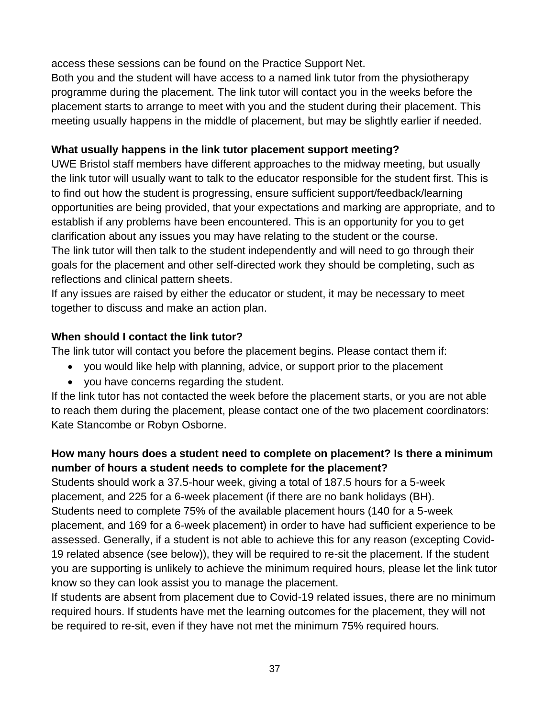access these sessions can be found on the Practice Support Net.

Both you and the student will have access to a named link tutor from the physiotherapy programme during the placement. The link tutor will contact you in the weeks before the placement starts to arrange to meet with you and the student during their placement. This meeting usually happens in the middle of placement, but may be slightly earlier if needed.

# **What usually happens in the link tutor placement support meeting?**

UWE Bristol staff members have different approaches to the midway meeting, but usually the link tutor will usually want to talk to the educator responsible for the student first. This is to find out how the student is progressing, ensure sufficient support/feedback/learning opportunities are being provided, that your expectations and marking are appropriate, and to establish if any problems have been encountered. This is an opportunity for you to get clarification about any issues you may have relating to the student or the course. The link tutor will then talk to the student independently and will need to go through their goals for the placement and other self-directed work they should be completing, such as reflections and clinical pattern sheets.

If any issues are raised by either the educator or student, it may be necessary to meet together to discuss and make an action plan.

# **When should I contact the link tutor?**

The link tutor will contact you before the placement begins. Please contact them if:

- you would like help with planning, advice, or support prior to the placement
- you have concerns regarding the student.

If the link tutor has not contacted the week before the placement starts, or you are not able to reach them during the placement, please contact one of the two placement coordinators: Kate Stancombe or Robyn Osborne.

# **How many hours does a student need to complete on placement? Is there a minimum number of hours a student needs to complete for the placement?**

Students should work a 37.5-hour week, giving a total of 187.5 hours for a 5-week placement, and 225 for a 6-week placement (if there are no bank holidays (BH). Students need to complete 75% of the available placement hours (140 for a 5-week placement, and 169 for a 6-week placement) in order to have had sufficient experience to be assessed. Generally, if a student is not able to achieve this for any reason (excepting Covid-19 related absence (see below)), they will be required to re-sit the placement. If the student you are supporting is unlikely to achieve the minimum required hours, please let the link tutor know so they can look assist you to manage the placement.

If students are absent from placement due to Covid-19 related issues, there are no minimum required hours. If students have met the learning outcomes for the placement, they will not be required to re-sit, even if they have not met the minimum 75% required hours.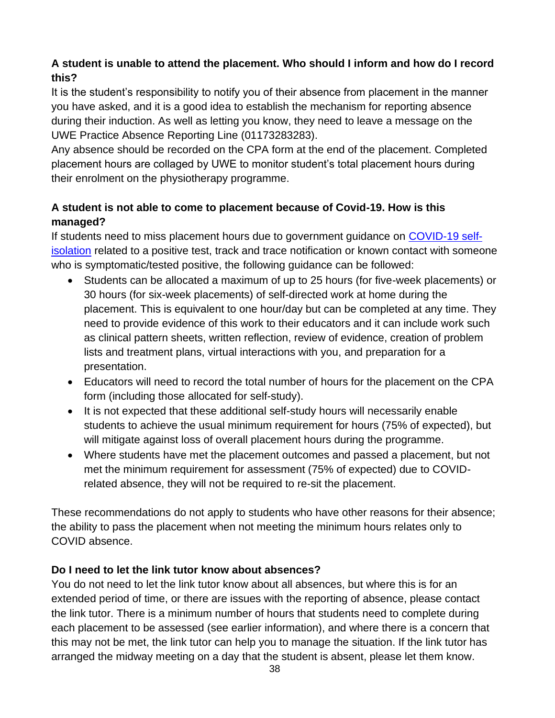# **A student is unable to attend the placement. Who should I inform and how do I record this?**

It is the student's responsibility to notify you of their absence from placement in the manner you have asked, and it is a good idea to establish the mechanism for reporting absence during their induction. As well as letting you know, they need to leave a message on the UWE Practice Absence Reporting Line (01173283283).

Any absence should be recorded on the CPA form at the end of the placement. Completed placement hours are collaged by UWE to monitor student's total placement hours during their enrolment on the physiotherapy programme.

# **A student is not able to come to placement because of Covid-19. How is this managed?**

If students need to miss placement hours due to government guidance on [COVID-19 self](https://www.gov.uk/coronavirus)[isolation](https://www.gov.uk/coronavirus) related to a positive test, track and trace notification or known contact with someone who is symptomatic/tested positive, the following guidance can be followed:

- Students can be allocated a maximum of up to 25 hours (for five-week placements) or 30 hours (for six-week placements) of self-directed work at home during the placement. This is equivalent to one hour/day but can be completed at any time. They need to provide evidence of this work to their educators and it can include work such as clinical pattern sheets, written reflection, review of evidence, creation of problem lists and treatment plans, virtual interactions with you, and preparation for a presentation.
- Educators will need to record the total number of hours for the placement on the CPA form (including those allocated for self-study).
- It is not expected that these additional self-study hours will necessarily enable students to achieve the usual minimum requirement for hours (75% of expected), but will mitigate against loss of overall placement hours during the programme.
- Where students have met the placement outcomes and passed a placement, but not met the minimum requirement for assessment (75% of expected) due to COVIDrelated absence, they will not be required to re-sit the placement.

These recommendations do not apply to students who have other reasons for their absence; the ability to pass the placement when not meeting the minimum hours relates only to COVID absence.

# **Do I need to let the link tutor know about absences?**

You do not need to let the link tutor know about all absences, but where this is for an extended period of time, or there are issues with the reporting of absence, please contact the link tutor. There is a minimum number of hours that students need to complete during each placement to be assessed (see earlier information), and where there is a concern that this may not be met, the link tutor can help you to manage the situation. If the link tutor has arranged the midway meeting on a day that the student is absent, please let them know.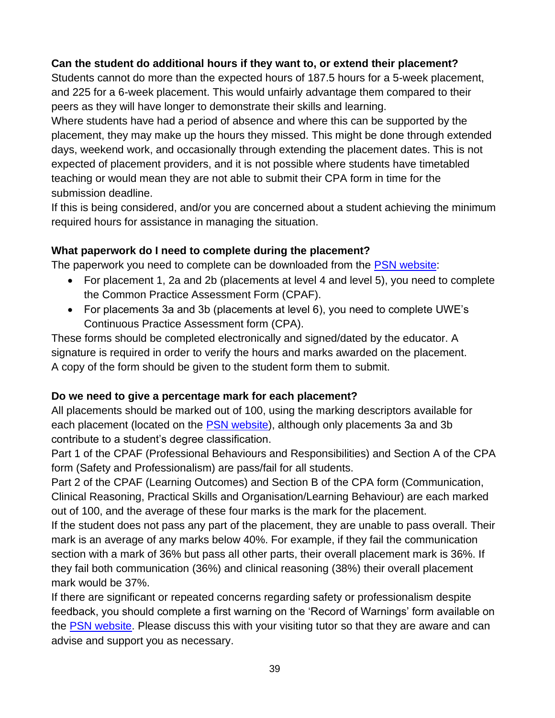# **Can the student do additional hours if they want to, or extend their placement?**

Students cannot do more than the expected hours of 187.5 hours for a 5-week placement, and 225 for a 6-week placement. This would unfairly advantage them compared to their peers as they will have longer to demonstrate their skills and learning.

Where students have had a period of absence and where this can be supported by the placement, they may make up the hours they missed. This might be done through extended days, weekend work, and occasionally through extending the placement dates. This is not expected of placement providers, and it is not possible where students have timetabled teaching or would mean they are not able to submit their CPA form in time for the submission deadline.

If this is being considered, and/or you are concerned about a student achieving the minimum required hours for assistance in managing the situation.

#### **What paperwork do I need to complete during the placement?**

The paperwork you need to complete can be downloaded from the [PSN website:](http://www1.uwe.ac.uk/students/practicesupportnet/guidancebyprogramme/physiotherapy.aspx)

- For placement 1, 2a and 2b (placements at level 4 and level 5), you need to complete the Common Practice Assessment Form (CPAF).
- For placements 3a and 3b (placements at level 6), you need to complete UWE's Continuous Practice Assessment form (CPA).

These forms should be completed electronically and signed/dated by the educator. A signature is required in order to verify the hours and marks awarded on the placement. A copy of the form should be given to the student form them to submit.

# **Do we need to give a percentage mark for each placement?**

All placements should be marked out of 100, using the marking descriptors available for each placement (located on the [PSN website\)](http://www1.uwe.ac.uk/students/practicesupportnet/guidancebyprogramme/physiotherapy.aspx), although only placements 3a and 3b contribute to a student's degree classification.

Part 1 of the CPAF (Professional Behaviours and Responsibilities) and Section A of the CPA form (Safety and Professionalism) are pass/fail for all students.

Part 2 of the CPAF (Learning Outcomes) and Section B of the CPA form (Communication, Clinical Reasoning, Practical Skills and Organisation/Learning Behaviour) are each marked out of 100, and the average of these four marks is the mark for the placement.

If the student does not pass any part of the placement, they are unable to pass overall. Their mark is an average of any marks below 40%. For example, if they fail the communication section with a mark of 36% but pass all other parts, their overall placement mark is 36%. If they fail both communication (36%) and clinical reasoning (38%) their overall placement mark would be 37%.

If there are significant or repeated concerns regarding safety or professionalism despite feedback, you should complete a first warning on the 'Record of Warnings' form available on the [PSN website.](http://www1.uwe.ac.uk/students/practicesupportnet/guidancebyprogramme/physiotherapy.aspx) Please discuss this with your visiting tutor so that they are aware and can advise and support you as necessary.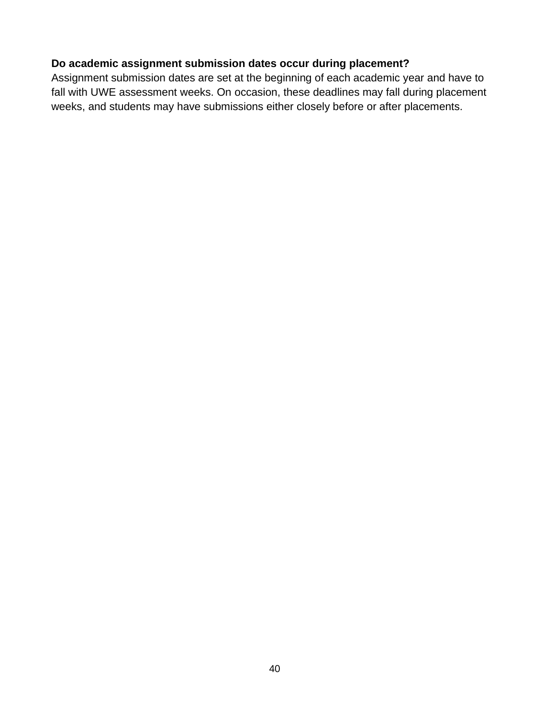#### **Do academic assignment submission dates occur during placement?**

Assignment submission dates are set at the beginning of each academic year and have to fall with UWE assessment weeks. On occasion, these deadlines may fall during placement weeks, and students may have submissions either closely before or after placements.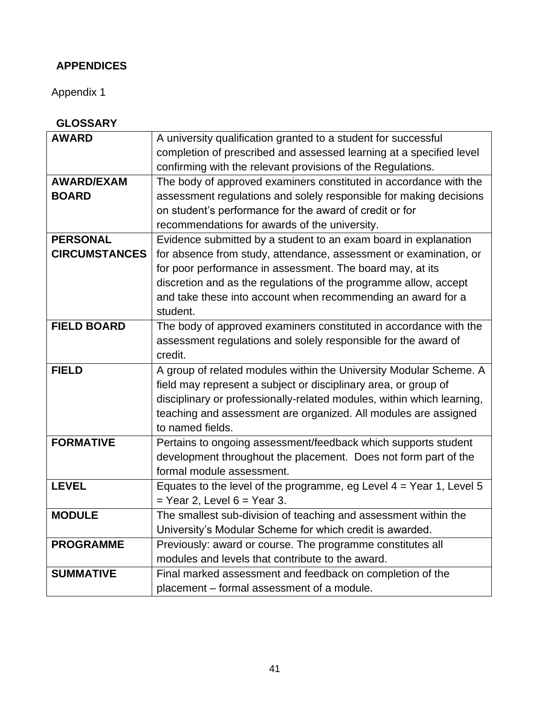# **APPENDICES**

Appendix 1

| <b>AWARD</b>         | A university qualification granted to a student for successful         |
|----------------------|------------------------------------------------------------------------|
|                      | completion of prescribed and assessed learning at a specified level    |
|                      | confirming with the relevant provisions of the Regulations.            |
| <b>AWARD/EXAM</b>    | The body of approved examiners constituted in accordance with the      |
| <b>BOARD</b>         | assessment regulations and solely responsible for making decisions     |
|                      | on student's performance for the award of credit or for                |
|                      | recommendations for awards of the university.                          |
| <b>PERSONAL</b>      | Evidence submitted by a student to an exam board in explanation        |
| <b>CIRCUMSTANCES</b> | for absence from study, attendance, assessment or examination, or      |
|                      | for poor performance in assessment. The board may, at its              |
|                      | discretion and as the regulations of the programme allow, accept       |
|                      | and take these into account when recommending an award for a           |
|                      | student.                                                               |
| <b>FIELD BOARD</b>   | The body of approved examiners constituted in accordance with the      |
|                      | assessment regulations and solely responsible for the award of         |
|                      | credit.                                                                |
| <b>FIELD</b>         | A group of related modules within the University Modular Scheme. A     |
|                      | field may represent a subject or disciplinary area, or group of        |
|                      | disciplinary or professionally-related modules, within which learning, |
|                      | teaching and assessment are organized. All modules are assigned        |
|                      | to named fields.                                                       |
| <b>FORMATIVE</b>     | Pertains to ongoing assessment/feedback which supports student         |
|                      | development throughout the placement. Does not form part of the        |
|                      | formal module assessment.                                              |
| <b>LEVEL</b>         | Equates to the level of the programme, eg Level $4 =$ Year 1, Level 5  |
|                      | $=$ Year 2, Level 6 = Year 3.                                          |
| <b>MODULE</b>        | The smallest sub-division of teaching and assessment within the        |
|                      | University's Modular Scheme for which credit is awarded.               |
| <b>PROGRAMME</b>     | Previously: award or course. The programme constitutes all             |
|                      | modules and levels that contribute to the award.                       |
| <b>SUMMATIVE</b>     | Final marked assessment and feedback on completion of the              |
|                      | placement - formal assessment of a module.                             |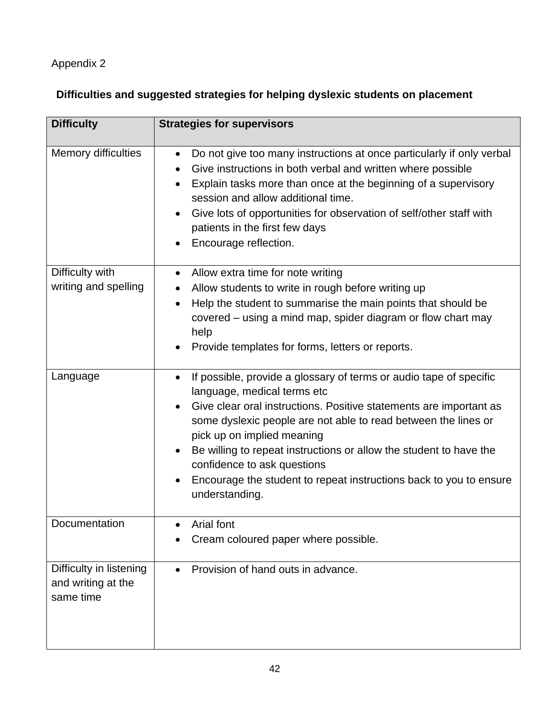# Appendix 2

# **Difficulties and suggested strategies for helping dyslexic students on placement**

| <b>Difficulty</b>                                          | <b>Strategies for supervisors</b>                                                                                                                                                                                                                                                                                                                                                                                                                                                              |
|------------------------------------------------------------|------------------------------------------------------------------------------------------------------------------------------------------------------------------------------------------------------------------------------------------------------------------------------------------------------------------------------------------------------------------------------------------------------------------------------------------------------------------------------------------------|
| <b>Memory difficulties</b>                                 | Do not give too many instructions at once particularly if only verbal<br>$\bullet$<br>Give instructions in both verbal and written where possible<br>$\bullet$<br>Explain tasks more than once at the beginning of a supervisory<br>session and allow additional time.<br>Give lots of opportunities for observation of self/other staff with<br>$\bullet$<br>patients in the first few days<br>Encourage reflection.                                                                          |
| Difficulty with<br>writing and spelling                    | Allow extra time for note writing<br>$\bullet$<br>Allow students to write in rough before writing up<br>٠<br>Help the student to summarise the main points that should be<br>$\bullet$<br>covered – using a mind map, spider diagram or flow chart may<br>help<br>Provide templates for forms, letters or reports.                                                                                                                                                                             |
| Language                                                   | If possible, provide a glossary of terms or audio tape of specific<br>$\bullet$<br>language, medical terms etc<br>Give clear oral instructions. Positive statements are important as<br>some dyslexic people are not able to read between the lines or<br>pick up on implied meaning<br>Be willing to repeat instructions or allow the student to have the<br>confidence to ask questions<br>Encourage the student to repeat instructions back to you to ensure<br>$\bullet$<br>understanding. |
| Documentation                                              | Arial font<br>Cream coloured paper where possible.                                                                                                                                                                                                                                                                                                                                                                                                                                             |
| Difficulty in listening<br>and writing at the<br>same time | Provision of hand outs in advance.<br>$\bullet$                                                                                                                                                                                                                                                                                                                                                                                                                                                |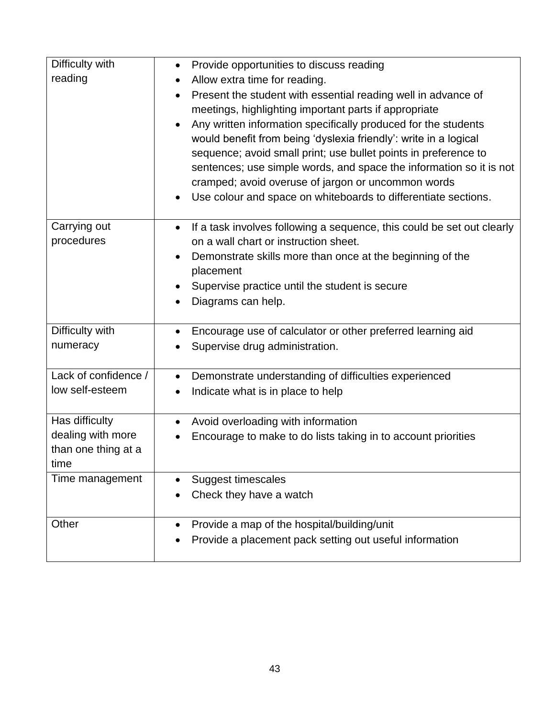| Difficulty with<br>reading                                         | Provide opportunities to discuss reading<br>$\bullet$<br>Allow extra time for reading.<br>Present the student with essential reading well in advance of<br>meetings, highlighting important parts if appropriate<br>Any written information specifically produced for the students<br>would benefit from being 'dyslexia friendly': write in a logical<br>sequence; avoid small print; use bullet points in preference to<br>sentences; use simple words, and space the information so it is not<br>cramped; avoid overuse of jargon or uncommon words<br>Use colour and space on whiteboards to differentiate sections. |
|--------------------------------------------------------------------|--------------------------------------------------------------------------------------------------------------------------------------------------------------------------------------------------------------------------------------------------------------------------------------------------------------------------------------------------------------------------------------------------------------------------------------------------------------------------------------------------------------------------------------------------------------------------------------------------------------------------|
| Carrying out<br>procedures                                         | If a task involves following a sequence, this could be set out clearly<br>$\bullet$<br>on a wall chart or instruction sheet.<br>Demonstrate skills more than once at the beginning of the<br>$\bullet$<br>placement<br>Supervise practice until the student is secure<br>Diagrams can help.                                                                                                                                                                                                                                                                                                                              |
| Difficulty with<br>numeracy                                        | Encourage use of calculator or other preferred learning aid<br>$\bullet$<br>Supervise drug administration.                                                                                                                                                                                                                                                                                                                                                                                                                                                                                                               |
| Lack of confidence /<br>low self-esteem                            | Demonstrate understanding of difficulties experienced<br>$\bullet$<br>Indicate what is in place to help                                                                                                                                                                                                                                                                                                                                                                                                                                                                                                                  |
| Has difficulty<br>dealing with more<br>than one thing at a<br>time | Avoid overloading with information<br>$\bullet$<br>Encourage to make to do lists taking in to account priorities                                                                                                                                                                                                                                                                                                                                                                                                                                                                                                         |
| Time management                                                    | <b>Suggest timescales</b><br>Check they have a watch                                                                                                                                                                                                                                                                                                                                                                                                                                                                                                                                                                     |
| Other                                                              | Provide a map of the hospital/building/unit<br>$\bullet$<br>Provide a placement pack setting out useful information                                                                                                                                                                                                                                                                                                                                                                                                                                                                                                      |